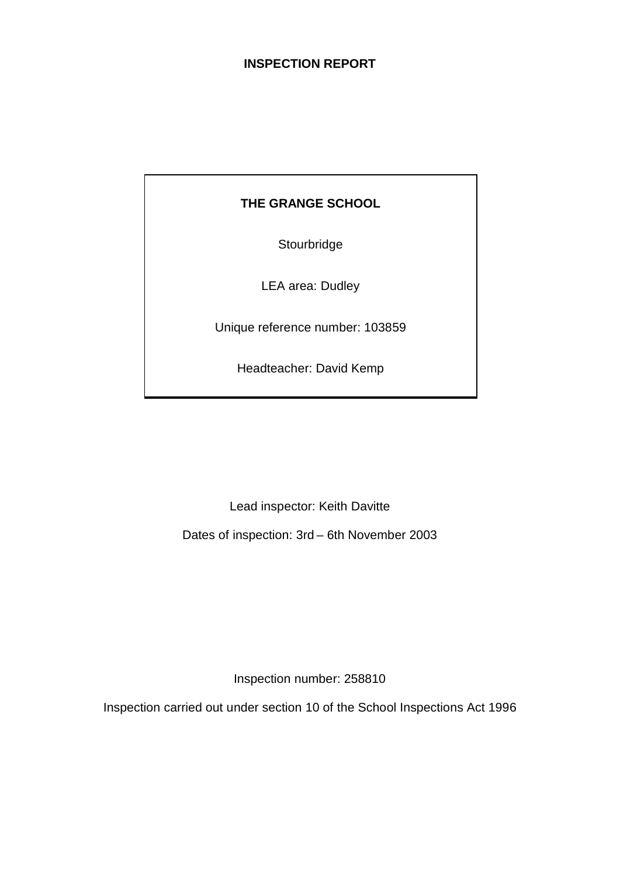## **INSPECTION REPORT**

## **THE GRANGE SCHOOL**

**Stourbridge** 

LEA area: Dudley

Unique reference number: 103859

Headteacher: David Kemp

Lead inspector: Keith Davitte

Dates of inspection: 3rd – 6th November 2003

Inspection number: 258810

Inspection carried out under section 10 of the School Inspections Act 1996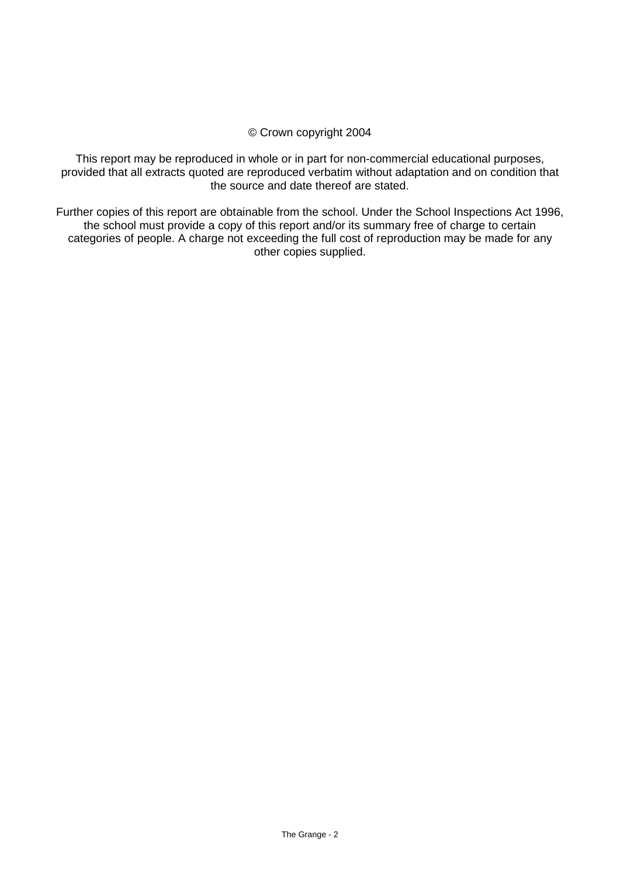#### © Crown copyright 2004

This report may be reproduced in whole or in part for non-commercial educational purposes, provided that all extracts quoted are reproduced verbatim without adaptation and on condition that the source and date thereof are stated.

Further copies of this report are obtainable from the school. Under the School Inspections Act 1996, the school must provide a copy of this report and/or its summary free of charge to certain categories of people. A charge not exceeding the full cost of reproduction may be made for any other copies supplied.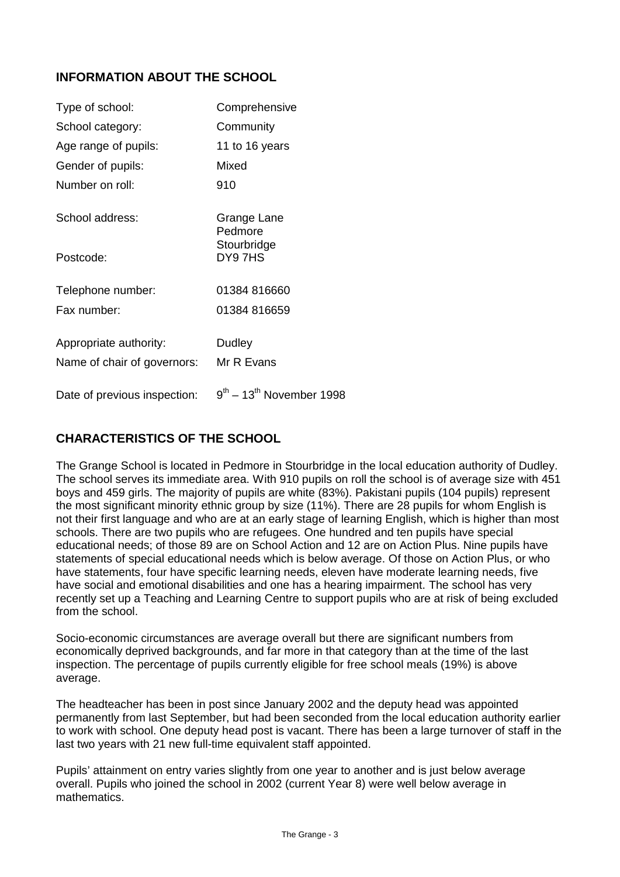## **INFORMATION ABOUT THE SCHOOL**

| Type of school:              | Comprehensive                             |
|------------------------------|-------------------------------------------|
| School category:             | Community                                 |
| Age range of pupils:         | 11 to 16 years                            |
| Gender of pupils:            | Mixed                                     |
| Number on roll:              | 910                                       |
| School address:              | Grange Lane<br>Pedmore                    |
| Postcode:                    | Stourbridge<br>DY97HS                     |
| Telephone number:            | 01384 816660                              |
| Fax number:                  | 01384 816659                              |
| Appropriate authority:       | Dudley                                    |
| Name of chair of governors:  | Mr R Evans                                |
| Date of previous inspection: | $9^{th}$ – 13 <sup>th</sup> November 1998 |

## **CHARACTERISTICS OF THE SCHOOL**

The Grange School is located in Pedmore in Stourbridge in the local education authority of Dudley. The school serves its immediate area. With 910 pupils on roll the school is of average size with 451 boys and 459 girls. The majority of pupils are white (83%). Pakistani pupils (104 pupils) represent the most significant minority ethnic group by size (11%). There are 28 pupils for whom English is not their first language and who are at an early stage of learning English, which is higher than most schools. There are two pupils who are refugees. One hundred and ten pupils have special educational needs; of those 89 are on School Action and 12 are on Action Plus. Nine pupils have statements of special educational needs which is below average. Of those on Action Plus, or who have statements, four have specific learning needs, eleven have moderate learning needs, five have social and emotional disabilities and one has a hearing impairment. The school has very recently set up a Teaching and Learning Centre to support pupils who are at risk of being excluded from the school.

Socio-economic circumstances are average overall but there are significant numbers from economically deprived backgrounds, and far more in that category than at the time of the last inspection. The percentage of pupils currently eligible for free school meals (19%) is above average.

The headteacher has been in post since January 2002 and the deputy head was appointed permanently from last September, but had been seconded from the local education authority earlier to work with school. One deputy head post is vacant. There has been a large turnover of staff in the last two years with 21 new full-time equivalent staff appointed.

Pupils' attainment on entry varies slightly from one year to another and is just below average overall. Pupils who joined the school in 2002 (current Year 8) were well below average in mathematics.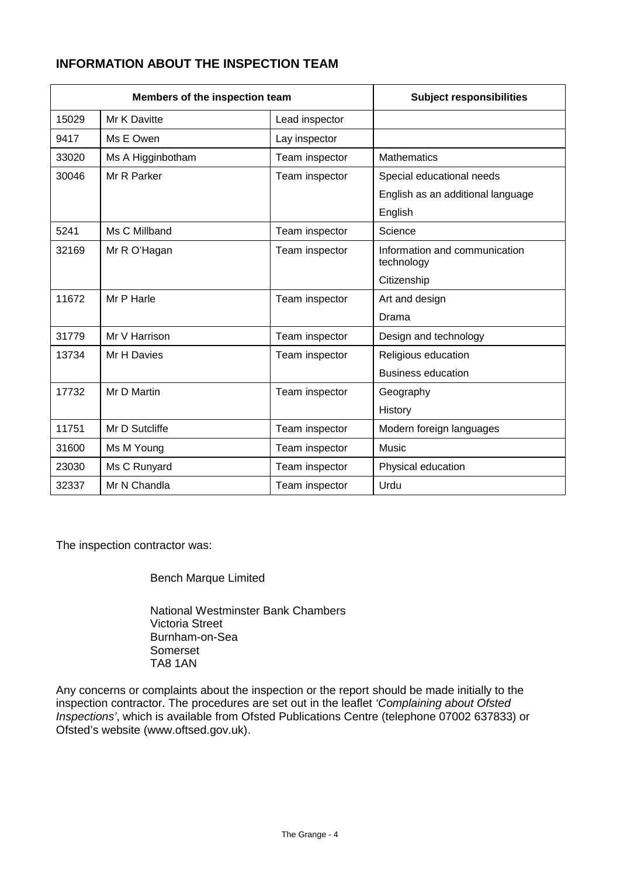## **INFORMATION ABOUT THE INSPECTION TEAM**

| Members of the inspection team |                   | <b>Subject responsibilities</b> |                                             |
|--------------------------------|-------------------|---------------------------------|---------------------------------------------|
| 15029                          | Mr K Davitte      | Lead inspector                  |                                             |
| 9417                           | Ms E Owen         | Lay inspector                   |                                             |
| 33020                          | Ms A Higginbotham | Team inspector                  | <b>Mathematics</b>                          |
| 30046                          | Mr R Parker       | Team inspector                  | Special educational needs                   |
|                                |                   |                                 | English as an additional language           |
|                                |                   |                                 | English                                     |
| 5241                           | Ms C Millband     | Team inspector                  | Science                                     |
| 32169                          | Mr R O'Hagan      | Team inspector                  | Information and communication<br>technology |
|                                |                   |                                 | Citizenship                                 |
| 11672                          | Mr P Harle        | Team inspector                  | Art and design                              |
|                                |                   |                                 | Drama                                       |
| 31779                          | Mr V Harrison     | Team inspector                  | Design and technology                       |
| 13734                          | Mr H Davies       | Team inspector                  | Religious education                         |
|                                |                   |                                 | <b>Business education</b>                   |
| 17732                          | Mr D Martin       | Team inspector                  | Geography                                   |
|                                |                   |                                 | History                                     |
| 11751                          | Mr D Sutcliffe    | Team inspector                  | Modern foreign languages                    |
| 31600                          | Ms M Young        | Team inspector                  | <b>Music</b>                                |
| 23030                          | Ms C Runyard      | Team inspector                  | Physical education                          |
| 32337                          | Mr N Chandla      | Team inspector                  | Urdu                                        |

The inspection contractor was:

Bench Marque Limited

National Westminster Bank Chambers Victoria Street Burnham-on-Sea Somerset TA8 1AN

Any concerns or complaints about the inspection or the report should be made initially to the inspection contractor. The procedures are set out in the leaflet *'Complaining about Ofsted Inspections'*, which is available from Ofsted Publications Centre (telephone 07002 637833) or Ofsted's website (www.oftsed.gov.uk).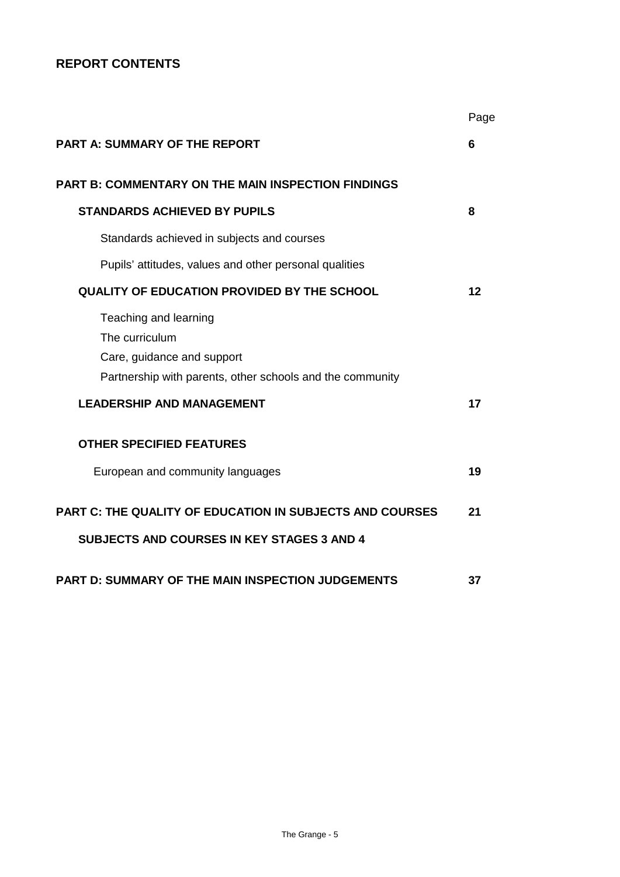## **REPORT CONTENTS**

|                                                                                                                                    | Page |
|------------------------------------------------------------------------------------------------------------------------------------|------|
| <b>PART A: SUMMARY OF THE REPORT</b>                                                                                               | 6    |
| <b>PART B: COMMENTARY ON THE MAIN INSPECTION FINDINGS</b>                                                                          |      |
| <b>STANDARDS ACHIEVED BY PUPILS</b>                                                                                                | 8    |
| Standards achieved in subjects and courses                                                                                         |      |
| Pupils' attitudes, values and other personal qualities                                                                             |      |
| <b>QUALITY OF EDUCATION PROVIDED BY THE SCHOOL</b>                                                                                 | 12   |
| Teaching and learning<br>The curriculum<br>Care, guidance and support<br>Partnership with parents, other schools and the community |      |
| <b>LEADERSHIP AND MANAGEMENT</b>                                                                                                   | 17   |
| <b>OTHER SPECIFIED FEATURES</b><br>European and community languages                                                                | 19   |
| PART C: THE QUALITY OF EDUCATION IN SUBJECTS AND COURSES<br><b>SUBJECTS AND COURSES IN KEY STAGES 3 AND 4</b>                      | 21   |
| PART D: SUMMARY OF THE MAIN INSPECTION JUDGEMENTS                                                                                  | 37   |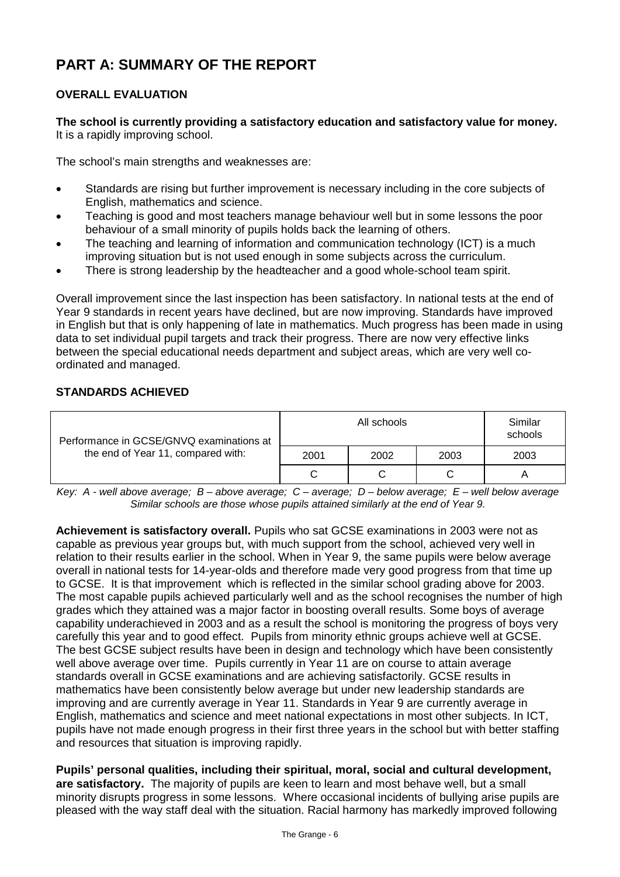# **PART A: SUMMARY OF THE REPORT**

## **OVERALL EVALUATION**

**The school is currently providing a satisfactory education and satisfactory value for money.**  It is a rapidly improving school.

The school's main strengths and weaknesses are:

- Standards are rising but further improvement is necessary including in the core subjects of English, mathematics and science.
- Teaching is good and most teachers manage behaviour well but in some lessons the poor behaviour of a small minority of pupils holds back the learning of others.
- The teaching and learning of information and communication technology (ICT) is a much improving situation but is not used enough in some subjects across the curriculum.
- There is strong leadership by the headteacher and a good whole-school team spirit.

Overall improvement since the last inspection has been satisfactory. In national tests at the end of Year 9 standards in recent years have declined, but are now improving. Standards have improved in English but that is only happening of late in mathematics. Much progress has been made in using data to set individual pupil targets and track their progress. There are now very effective links between the special educational needs department and subject areas, which are very well coordinated and managed.

#### **STANDARDS ACHIEVED**

| Performance in GCSE/GNVQ examinations at<br>the end of Year 11, compared with: |              | Similar<br>schools |      |      |
|--------------------------------------------------------------------------------|--------------|--------------------|------|------|
|                                                                                | 2001<br>2002 |                    | 2003 | 2003 |
|                                                                                |              |                    |      |      |

*Key: A - well above average; B – above average; C – average; D – below average; E – well below average Similar schools are those whose pupils attained similarly at the end of Year 9.*

**Achievement is satisfactory overall.** Pupils who sat GCSE examinations in 2003 were not as capable as previous year groups but, with much support from the school, achieved very well in relation to their results earlier in the school. When in Year 9, the same pupils were below average overall in national tests for 14-year-olds and therefore made very good progress from that time up to GCSE. It is that improvement which is reflected in the similar school grading above for 2003. The most capable pupils achieved particularly well and as the school recognises the number of high grades which they attained was a major factor in boosting overall results. Some boys of average capability underachieved in 2003 and as a result the school is monitoring the progress of boys very carefully this year and to good effect. Pupils from minority ethnic groups achieve well at GCSE. The best GCSE subject results have been in design and technology which have been consistently well above average over time. Pupils currently in Year 11 are on course to attain average standards overall in GCSE examinations and are achieving satisfactorily. GCSE results in mathematics have been consistently below average but under new leadership standards are improving and are currently average in Year 11. Standards in Year 9 are currently average in English, mathematics and science and meet national expectations in most other subjects. In ICT, pupils have not made enough progress in their first three years in the school but with better staffing and resources that situation is improving rapidly.

**Pupils' personal qualities, including their spiritual, moral, social and cultural development, are satisfactory.** The majority of pupils are keen to learn and most behave well, but a small minority disrupts progress in some lessons. Where occasional incidents of bullying arise pupils are pleased with the way staff deal with the situation. Racial harmony has markedly improved following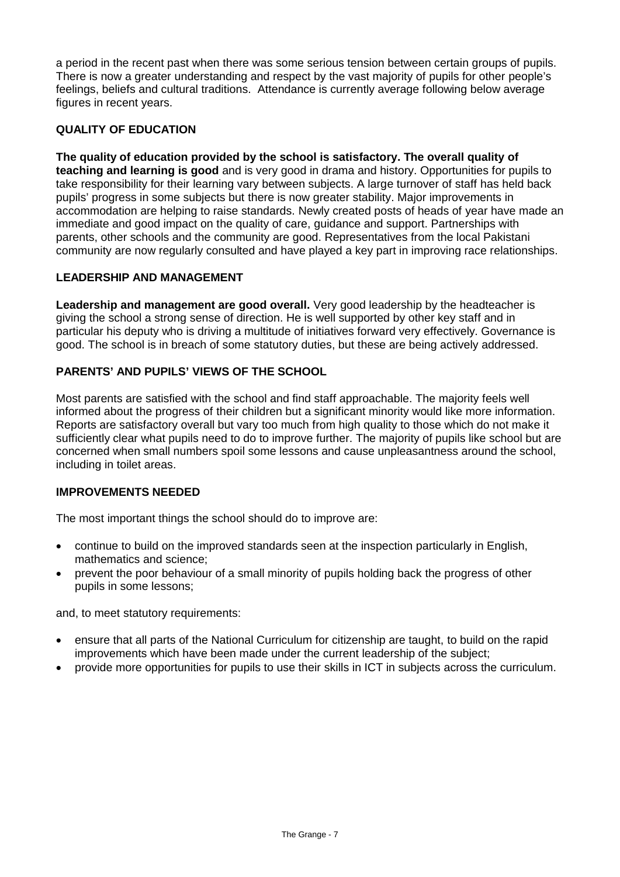a period in the recent past when there was some serious tension between certain groups of pupils. There is now a greater understanding and respect by the vast majority of pupils for other people's feelings, beliefs and cultural traditions. Attendance is currently average following below average figures in recent years.

### **QUALITY OF EDUCATION**

**The quality of education provided by the school is satisfactory. The overall quality of teaching and learning is good** and is very good in drama and history. Opportunities for pupils to take responsibility for their learning vary between subjects. A large turnover of staff has held back pupils' progress in some subjects but there is now greater stability. Major improvements in accommodation are helping to raise standards. Newly created posts of heads of year have made an immediate and good impact on the quality of care, guidance and support. Partnerships with parents, other schools and the community are good. Representatives from the local Pakistani community are now regularly consulted and have played a key part in improving race relationships.

#### **LEADERSHIP AND MANAGEMENT**

**Leadership and management are good overall.** Very good leadership by the headteacher is giving the school a strong sense of direction. He is well supported by other key staff and in particular his deputy who is driving a multitude of initiatives forward very effectively. Governance is good. The school is in breach of some statutory duties, but these are being actively addressed.

#### **PARENTS' AND PUPILS' VIEWS OF THE SCHOOL**

Most parents are satisfied with the school and find staff approachable. The majority feels well informed about the progress of their children but a significant minority would like more information. Reports are satisfactory overall but vary too much from high quality to those which do not make it sufficiently clear what pupils need to do to improve further. The majority of pupils like school but are concerned when small numbers spoil some lessons and cause unpleasantness around the school, including in toilet areas.

#### **IMPROVEMENTS NEEDED**

The most important things the school should do to improve are:

- continue to build on the improved standards seen at the inspection particularly in English, mathematics and science;
- prevent the poor behaviour of a small minority of pupils holding back the progress of other pupils in some lessons;

and, to meet statutory requirements:

- ensure that all parts of the National Curriculum for citizenship are taught, to build on the rapid improvements which have been made under the current leadership of the subject;
- provide more opportunities for pupils to use their skills in ICT in subjects across the curriculum.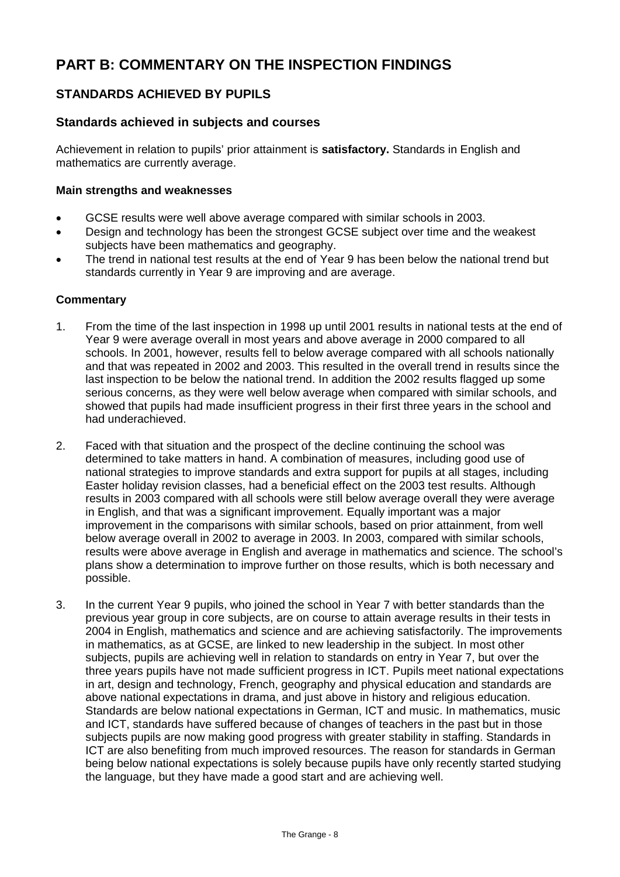# **PART B: COMMENTARY ON THE INSPECTION FINDINGS**

## **STANDARDS ACHIEVED BY PUPILS**

### **Standards achieved in subjects and courses**

Achievement in relation to pupils' prior attainment is **satisfactory.** Standards in English and mathematics are currently average.

#### **Main strengths and weaknesses**

- GCSE results were well above average compared with similar schools in 2003.
- Design and technology has been the strongest GCSE subject over time and the weakest subjects have been mathematics and geography.
- The trend in national test results at the end of Year 9 has been below the national trend but standards currently in Year 9 are improving and are average.

- 1. From the time of the last inspection in 1998 up until 2001 results in national tests at the end of Year 9 were average overall in most years and above average in 2000 compared to all schools. In 2001, however, results fell to below average compared with all schools nationally and that was repeated in 2002 and 2003. This resulted in the overall trend in results since the last inspection to be below the national trend. In addition the 2002 results flagged up some serious concerns, as they were well below average when compared with similar schools, and showed that pupils had made insufficient progress in their first three years in the school and had underachieved.
- 2. Faced with that situation and the prospect of the decline continuing the school was determined to take matters in hand. A combination of measures, including good use of national strategies to improve standards and extra support for pupils at all stages, including Easter holiday revision classes, had a beneficial effect on the 2003 test results. Although results in 2003 compared with all schools were still below average overall they were average in English, and that was a significant improvement. Equally important was a major improvement in the comparisons with similar schools, based on prior attainment, from well below average overall in 2002 to average in 2003. In 2003, compared with similar schools, results were above average in English and average in mathematics and science. The school's plans show a determination to improve further on those results, which is both necessary and possible.
- 3. In the current Year 9 pupils, who joined the school in Year 7 with better standards than the previous year group in core subjects, are on course to attain average results in their tests in 2004 in English, mathematics and science and are achieving satisfactorily. The improvements in mathematics, as at GCSE, are linked to new leadership in the subject. In most other subjects, pupils are achieving well in relation to standards on entry in Year 7, but over the three years pupils have not made sufficient progress in ICT. Pupils meet national expectations in art, design and technology, French, geography and physical education and standards are above national expectations in drama, and just above in history and religious education. Standards are below national expectations in German, ICT and music. In mathematics, music and ICT, standards have suffered because of changes of teachers in the past but in those subjects pupils are now making good progress with greater stability in staffing. Standards in ICT are also benefiting from much improved resources. The reason for standards in German being below national expectations is solely because pupils have only recently started studying the language, but they have made a good start and are achieving well.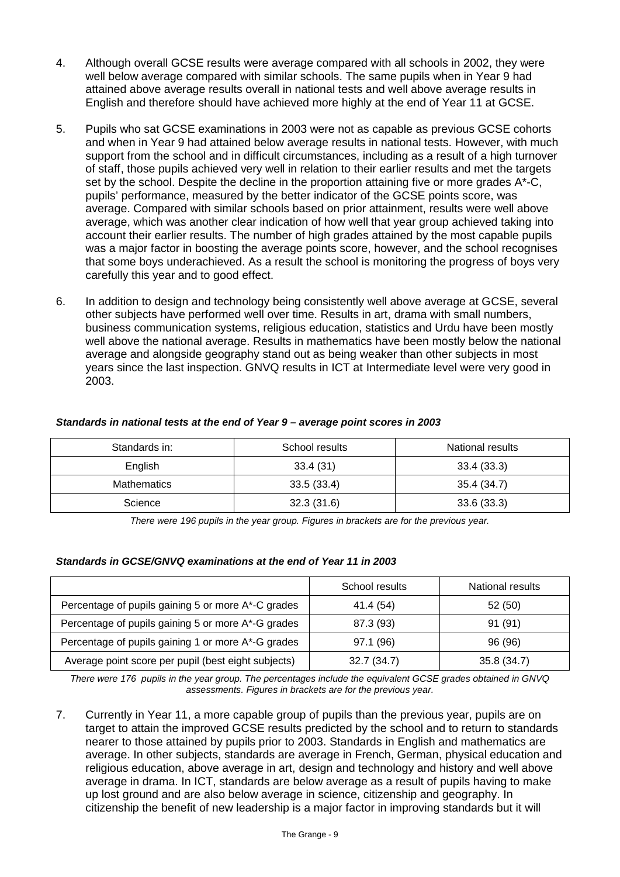- 4. Although overall GCSE results were average compared with all schools in 2002, they were well below average compared with similar schools. The same pupils when in Year 9 had attained above average results overall in national tests and well above average results in English and therefore should have achieved more highly at the end of Year 11 at GCSE.
- 5. Pupils who sat GCSE examinations in 2003 were not as capable as previous GCSE cohorts and when in Year 9 had attained below average results in national tests. However, with much support from the school and in difficult circumstances, including as a result of a high turnover of staff, those pupils achieved very well in relation to their earlier results and met the targets set by the school. Despite the decline in the proportion attaining five or more grades A\*-C. pupils' performance, measured by the better indicator of the GCSE points score, was average. Compared with similar schools based on prior attainment, results were well above average, which was another clear indication of how well that year group achieved taking into account their earlier results. The number of high grades attained by the most capable pupils was a major factor in boosting the average points score, however, and the school recognises that some boys underachieved. As a result the school is monitoring the progress of boys very carefully this year and to good effect.
- 6. In addition to design and technology being consistently well above average at GCSE, several other subjects have performed well over time. Results in art, drama with small numbers, business communication systems, religious education, statistics and Urdu have been mostly well above the national average. Results in mathematics have been mostly below the national average and alongside geography stand out as being weaker than other subjects in most years since the last inspection. GNVQ results in ICT at Intermediate level were very good in 2003.

| Standards in:      | School results | National results |
|--------------------|----------------|------------------|
| English            | 33.4(31)       |                  |
| <b>Mathematics</b> | 33.5(33.4)     | 35.4 (34.7)      |
| Science            | 32.3(31.6)     | 33.6(33.3)       |

#### *Standards in national tests at the end of Year 9 – average point scores in 2003*

*There were 196 pupils in the year group. Figures in brackets are for the previous year.*

#### *Standards in GCSE/GNVQ examinations at the end of Year 11 in 2003*

|                                                     | School results | National results |
|-----------------------------------------------------|----------------|------------------|
| Percentage of pupils gaining 5 or more A*-C grades  | 41.4 (54)      | 52(50)           |
| Percentage of pupils gaining 5 or more A*-G grades  | 87.3 (93)      | 91 (91)          |
| Percentage of pupils gaining 1 or more A*-G grades  | 97.1 (96)      | 96 (96)          |
| Average point score per pupil (best eight subjects) | 32.7 (34.7)    | 35.8 (34.7)      |

*There were 176 pupils in the year group. The percentages include the equivalent GCSE grades obtained in GNVQ assessments. Figures in brackets are for the previous year.* 

7. Currently in Year 11, a more capable group of pupils than the previous year, pupils are on target to attain the improved GCSE results predicted by the school and to return to standards nearer to those attained by pupils prior to 2003. Standards in English and mathematics are average. In other subjects, standards are average in French, German, physical education and religious education, above average in art, design and technology and history and well above average in drama. In ICT, standards are below average as a result of pupils having to make up lost ground and are also below average in science, citizenship and geography. In citizenship the benefit of new leadership is a major factor in improving standards but it will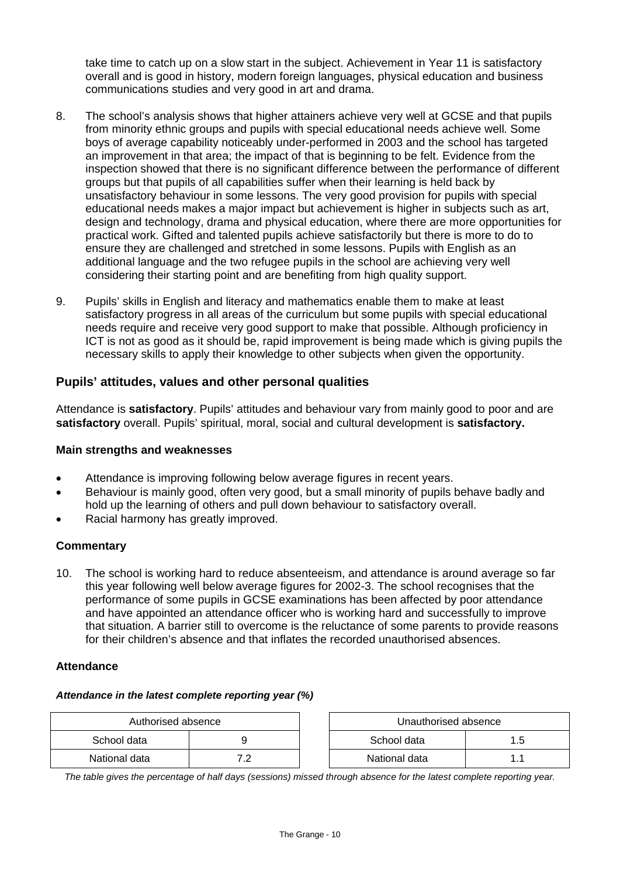take time to catch up on a slow start in the subject. Achievement in Year 11 is satisfactory overall and is good in history, modern foreign languages, physical education and business communications studies and very good in art and drama.

- 8. The school's analysis shows that higher attainers achieve very well at GCSE and that pupils from minority ethnic groups and pupils with special educational needs achieve well. Some boys of average capability noticeably under-performed in 2003 and the school has targeted an improvement in that area; the impact of that is beginning to be felt. Evidence from the inspection showed that there is no significant difference between the performance of different groups but that pupils of all capabilities suffer when their learning is held back by unsatisfactory behaviour in some lessons. The very good provision for pupils with special educational needs makes a major impact but achievement is higher in subjects such as art, design and technology, drama and physical education, where there are more opportunities for practical work. Gifted and talented pupils achieve satisfactorily but there is more to do to ensure they are challenged and stretched in some lessons. Pupils with English as an additional language and the two refugee pupils in the school are achieving very well considering their starting point and are benefiting from high quality support.
- 9. Pupils' skills in English and literacy and mathematics enable them to make at least satisfactory progress in all areas of the curriculum but some pupils with special educational needs require and receive very good support to make that possible. Although proficiency in ICT is not as good as it should be, rapid improvement is being made which is giving pupils the necessary skills to apply their knowledge to other subjects when given the opportunity.

## **Pupils' attitudes, values and other personal qualities**

Attendance is **satisfactory**. Pupils' attitudes and behaviour vary from mainly good to poor and are **satisfactory** overall. Pupils' spiritual, moral, social and cultural development is **satisfactory.**

#### **Main strengths and weaknesses**

- Attendance is improving following below average figures in recent years.
- Behaviour is mainly good, often very good, but a small minority of pupils behave badly and hold up the learning of others and pull down behaviour to satisfactory overall.
- Racial harmony has greatly improved.

#### **Commentary**

10. The school is working hard to reduce absenteeism, and attendance is around average so far this year following well below average figures for 2002-3. The school recognises that the performance of some pupils in GCSE examinations has been affected by poor attendance and have appointed an attendance officer who is working hard and successfully to improve that situation. A barrier still to overcome is the reluctance of some parents to provide reasons for their children's absence and that inflates the recorded unauthorised absences.

#### **Attendance**

#### *Attendance in the latest complete reporting year (%)*

| Authorised absence |     | Unauthorised absence |  |
|--------------------|-----|----------------------|--|
| School data        |     | School data          |  |
| National data      | . . | National data        |  |

*The table gives the percentage of half days (sessions) missed through absence for the latest complete reporting year.*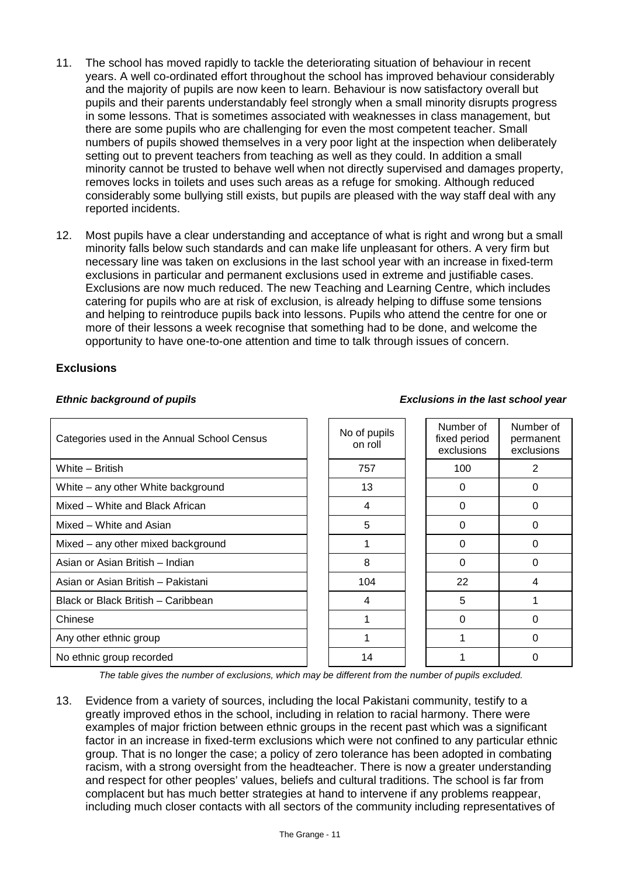- 11. The school has moved rapidly to tackle the deteriorating situation of behaviour in recent years. A well co-ordinated effort throughout the school has improved behaviour considerably and the majority of pupils are now keen to learn. Behaviour is now satisfactory overall but pupils and their parents understandably feel strongly when a small minority disrupts progress in some lessons. That is sometimes associated with weaknesses in class management, but there are some pupils who are challenging for even the most competent teacher. Small numbers of pupils showed themselves in a very poor light at the inspection when deliberately setting out to prevent teachers from teaching as well as they could. In addition a small minority cannot be trusted to behave well when not directly supervised and damages property, removes locks in toilets and uses such areas as a refuge for smoking. Although reduced considerably some bullying still exists, but pupils are pleased with the way staff deal with any reported incidents.
- 12. Most pupils have a clear understanding and acceptance of what is right and wrong but a small minority falls below such standards and can make life unpleasant for others. A very firm but necessary line was taken on exclusions in the last school year with an increase in fixed-term exclusions in particular and permanent exclusions used in extreme and justifiable cases. Exclusions are now much reduced. The new Teaching and Learning Centre, which includes catering for pupils who are at risk of exclusion, is already helping to diffuse some tensions and helping to reintroduce pupils back into lessons. Pupils who attend the centre for one or more of their lessons a week recognise that something had to be done, and welcome the opportunity to have one-to-one attention and time to talk through issues of concern.

#### **Exclusions**

#### Categories used in the Annual School Census No of pupils on roll Number of fixed period exclusions Number of permanent exclusions White – British 757 100 2 White – any other White background 13 0 0 Mixed – White and Black African 4 0 0 Mixed – White and Asian  $\begin{array}{ccc} 1 & 1 & 5 & 1 & 0 \\ 0 & 0 & 0 & 0 \end{array}$ Mixed – any other mixed background 1 0 0 Asian or Asian British – Indian and Asian or Asian or Asian British – Indian and Asian and Asian and Asian and A Asian or Asian British – Pakistani 104 104 104 22 + 22 Black or Black British – Caribbean 4 5 1 Chinese 1 0 0 Any other ethnic group and the contract of the contract of the contract of the contract of the contract of the contract of the contract of the contract of the contract of the contract of the contract of the contract of the No ethnic group recorded and the set of the set of the set of the set of the set of the set of the set of the set of the set of the set of the set of the set of the set of the set of the set of the set of the set of the se

*The table gives the number of exclusions, which may be different from the number of pupils excluded.*

13. Evidence from a variety of sources, including the local Pakistani community, testify to a greatly improved ethos in the school, including in relation to racial harmony. There were examples of major friction between ethnic groups in the recent past which was a significant factor in an increase in fixed-term exclusions which were not confined to any particular ethnic group. That is no longer the case; a policy of zero tolerance has been adopted in combating racism, with a strong oversight from the headteacher. There is now a greater understanding and respect for other peoples' values, beliefs and cultural traditions. The school is far from complacent but has much better strategies at hand to intervene if any problems reappear, including much closer contacts with all sectors of the community including representatives of

#### *Ethnic background of pupils Exclusions in the last school year*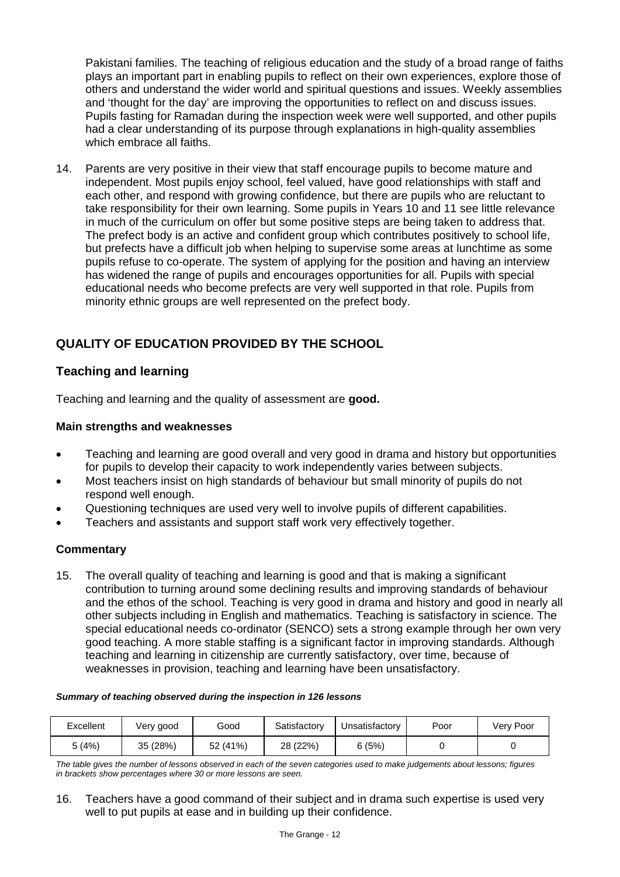Pakistani families. The teaching of religious education and the study of a broad range of faiths plays an important part in enabling pupils to reflect on their own experiences, explore those of others and understand the wider world and spiritual questions and issues. Weekly assemblies and 'thought for the day' are improving the opportunities to reflect on and discuss issues. Pupils fasting for Ramadan during the inspection week were well supported, and other pupils had a clear understanding of its purpose through explanations in high-quality assemblies which embrace all faiths.

14. Parents are very positive in their view that staff encourage pupils to become mature and independent. Most pupils enjoy school, feel valued, have good relationships with staff and each other, and respond with growing confidence, but there are pupils who are reluctant to take responsibility for their own learning. Some pupils in Years 10 and 11 see little relevance in much of the curriculum on offer but some positive steps are being taken to address that. The prefect body is an active and confident group which contributes positively to school life, but prefects have a difficult job when helping to supervise some areas at lunchtime as some pupils refuse to co-operate. The system of applying for the position and having an interview has widened the range of pupils and encourages opportunities for all. Pupils with special educational needs who become prefects are very well supported in that role. Pupils from minority ethnic groups are well represented on the prefect body.

## **QUALITY OF EDUCATION PROVIDED BY THE SCHOOL**

## **Teaching and learning**

Teaching and learning and the quality of assessment are **good.** 

#### **Main strengths and weaknesses**

- Teaching and learning are good overall and very good in drama and history but opportunities for pupils to develop their capacity to work independently varies between subjects.
- Most teachers insist on high standards of behaviour but small minority of pupils do not respond well enough.
- Questioning techniques are used very well to involve pupils of different capabilities.
- Teachers and assistants and support staff work very effectively together.

#### **Commentary**

15. The overall quality of teaching and learning is good and that is making a significant contribution to turning around some declining results and improving standards of behaviour and the ethos of the school. Teaching is very good in drama and history and good in nearly all other subjects including in English and mathematics. Teaching is satisfactory in science. The special educational needs co-ordinator (SENCO) sets a strong example through her own very good teaching. A more stable staffing is a significant factor in improving standards. Although teaching and learning in citizenship are currently satisfactory, over time, because of weaknesses in provision, teaching and learning have been unsatisfactory.

#### *Summary of teaching observed during the inspection in 126 lessons*

| Excellent | Very good | Good     | Satisfactory | Unsatisfactory | Poor | Very Poor |
|-----------|-----------|----------|--------------|----------------|------|-----------|
| 5 (4%)    | 35 (28%)  | 52 (41%) | 28 (22%)     | 6 (5%)         |      |           |

*The table gives the number of lessons observed in each of the seven categories used to make judgements about lessons; figures in brackets show percentages where 30 or more lessons are seen.*

16. Teachers have a good command of their subject and in drama such expertise is used very well to put pupils at ease and in building up their confidence.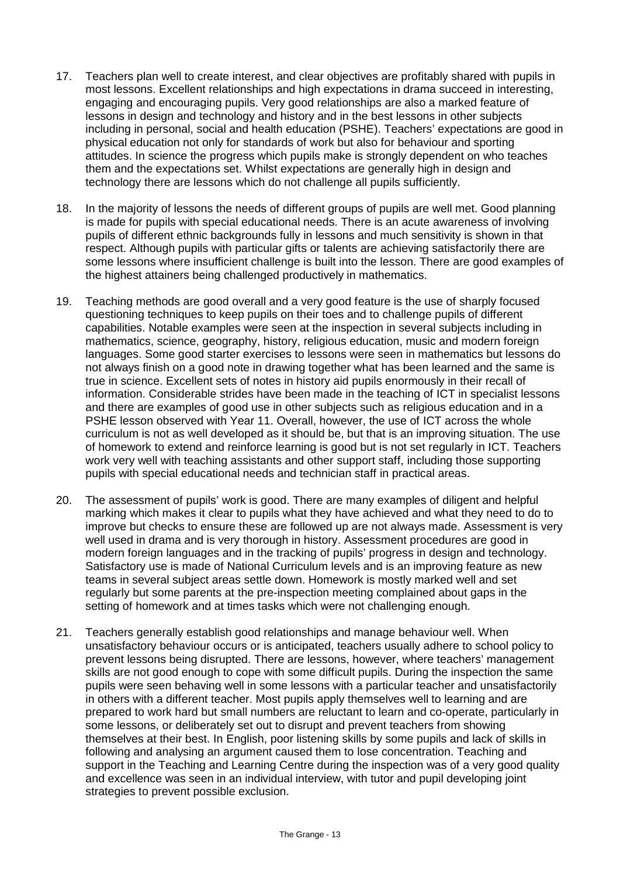- 17. Teachers plan well to create interest, and clear objectives are profitably shared with pupils in most lessons. Excellent relationships and high expectations in drama succeed in interesting, engaging and encouraging pupils. Very good relationships are also a marked feature of lessons in design and technology and history and in the best lessons in other subjects including in personal, social and health education (PSHE). Teachers' expectations are good in physical education not only for standards of work but also for behaviour and sporting attitudes. In science the progress which pupils make is strongly dependent on who teaches them and the expectations set. Whilst expectations are generally high in design and technology there are lessons which do not challenge all pupils sufficiently.
- 18. In the majority of lessons the needs of different groups of pupils are well met. Good planning is made for pupils with special educational needs. There is an acute awareness of involving pupils of different ethnic backgrounds fully in lessons and much sensitivity is shown in that respect. Although pupils with particular gifts or talents are achieving satisfactorily there are some lessons where insufficient challenge is built into the lesson. There are good examples of the highest attainers being challenged productively in mathematics.
- 19. Teaching methods are good overall and a very good feature is the use of sharply focused questioning techniques to keep pupils on their toes and to challenge pupils of different capabilities. Notable examples were seen at the inspection in several subjects including in mathematics, science, geography, history, religious education, music and modern foreign languages. Some good starter exercises to lessons were seen in mathematics but lessons do not always finish on a good note in drawing together what has been learned and the same is true in science. Excellent sets of notes in history aid pupils enormously in their recall of information. Considerable strides have been made in the teaching of ICT in specialist lessons and there are examples of good use in other subjects such as religious education and in a PSHE lesson observed with Year 11. Overall, however, the use of ICT across the whole curriculum is not as well developed as it should be, but that is an improving situation. The use of homework to extend and reinforce learning is good but is not set regularly in ICT. Teachers work very well with teaching assistants and other support staff, including those supporting pupils with special educational needs and technician staff in practical areas.
- 20. The assessment of pupils' work is good. There are many examples of diligent and helpful marking which makes it clear to pupils what they have achieved and what they need to do to improve but checks to ensure these are followed up are not always made. Assessment is very well used in drama and is very thorough in history. Assessment procedures are good in modern foreign languages and in the tracking of pupils' progress in design and technology. Satisfactory use is made of National Curriculum levels and is an improving feature as new teams in several subject areas settle down. Homework is mostly marked well and set regularly but some parents at the pre-inspection meeting complained about gaps in the setting of homework and at times tasks which were not challenging enough.
- 21. Teachers generally establish good relationships and manage behaviour well. When unsatisfactory behaviour occurs or is anticipated, teachers usually adhere to school policy to prevent lessons being disrupted. There are lessons, however, where teachers' management skills are not good enough to cope with some difficult pupils. During the inspection the same pupils were seen behaving well in some lessons with a particular teacher and unsatisfactorily in others with a different teacher. Most pupils apply themselves well to learning and are prepared to work hard but small numbers are reluctant to learn and co-operate, particularly in some lessons, or deliberately set out to disrupt and prevent teachers from showing themselves at their best. In English, poor listening skills by some pupils and lack of skills in following and analysing an argument caused them to lose concentration. Teaching and support in the Teaching and Learning Centre during the inspection was of a very good quality and excellence was seen in an individual interview, with tutor and pupil developing joint strategies to prevent possible exclusion.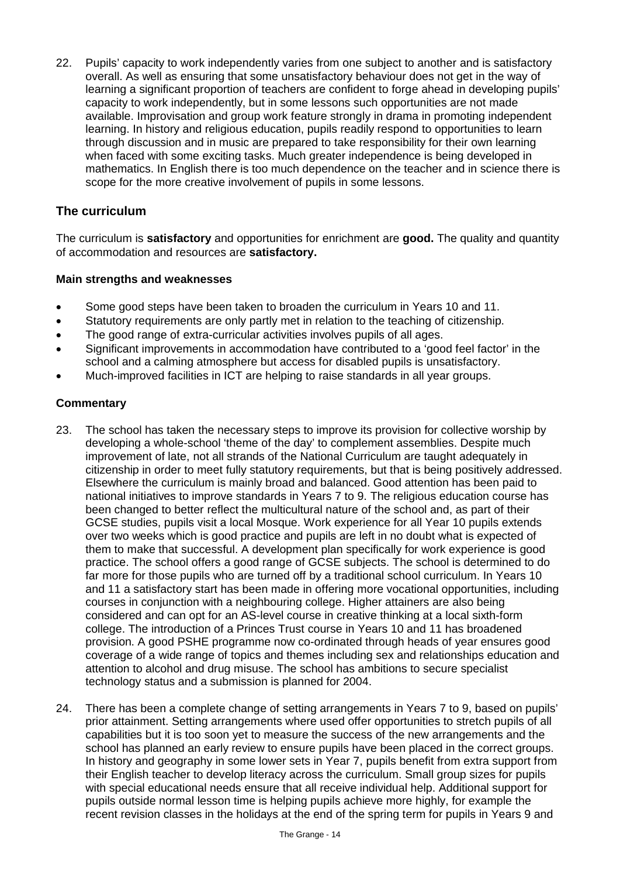22. Pupils' capacity to work independently varies from one subject to another and is satisfactory overall. As well as ensuring that some unsatisfactory behaviour does not get in the way of learning a significant proportion of teachers are confident to forge ahead in developing pupils' capacity to work independently, but in some lessons such opportunities are not made available. Improvisation and group work feature strongly in drama in promoting independent learning. In history and religious education, pupils readily respond to opportunities to learn through discussion and in music are prepared to take responsibility for their own learning when faced with some exciting tasks. Much greater independence is being developed in mathematics. In English there is too much dependence on the teacher and in science there is scope for the more creative involvement of pupils in some lessons.

## **The curriculum**

The curriculum is **satisfactory** and opportunities for enrichment are **good.** The quality and quantity of accommodation and resources are **satisfactory.**

#### **Main strengths and weaknesses**

- Some good steps have been taken to broaden the curriculum in Years 10 and 11.
- Statutory requirements are only partly met in relation to the teaching of citizenship.
- The good range of extra-curricular activities involves pupils of all ages.
- Significant improvements in accommodation have contributed to a 'good feel factor' in the school and a calming atmosphere but access for disabled pupils is unsatisfactory.
- Much-improved facilities in ICT are helping to raise standards in all year groups.

- 23. The school has taken the necessary steps to improve its provision for collective worship by developing a whole-school 'theme of the day' to complement assemblies. Despite much improvement of late, not all strands of the National Curriculum are taught adequately in citizenship in order to meet fully statutory requirements, but that is being positively addressed. Elsewhere the curriculum is mainly broad and balanced. Good attention has been paid to national initiatives to improve standards in Years 7 to 9. The religious education course has been changed to better reflect the multicultural nature of the school and, as part of their GCSE studies, pupils visit a local Mosque. Work experience for all Year 10 pupils extends over two weeks which is good practice and pupils are left in no doubt what is expected of them to make that successful. A development plan specifically for work experience is good practice. The school offers a good range of GCSE subjects. The school is determined to do far more for those pupils who are turned off by a traditional school curriculum. In Years 10 and 11 a satisfactory start has been made in offering more vocational opportunities, including courses in conjunction with a neighbouring college. Higher attainers are also being considered and can opt for an AS-level course in creative thinking at a local sixth-form college. The introduction of a Princes Trust course in Years 10 and 11 has broadened provision. A good PSHE programme now co-ordinated through heads of year ensures good coverage of a wide range of topics and themes including sex and relationships education and attention to alcohol and drug misuse. The school has ambitions to secure specialist technology status and a submission is planned for 2004.
- 24. There has been a complete change of setting arrangements in Years 7 to 9, based on pupils' prior attainment. Setting arrangements where used offer opportunities to stretch pupils of all capabilities but it is too soon yet to measure the success of the new arrangements and the school has planned an early review to ensure pupils have been placed in the correct groups. In history and geography in some lower sets in Year 7, pupils benefit from extra support from their English teacher to develop literacy across the curriculum. Small group sizes for pupils with special educational needs ensure that all receive individual help. Additional support for pupils outside normal lesson time is helping pupils achieve more highly, for example the recent revision classes in the holidays at the end of the spring term for pupils in Years 9 and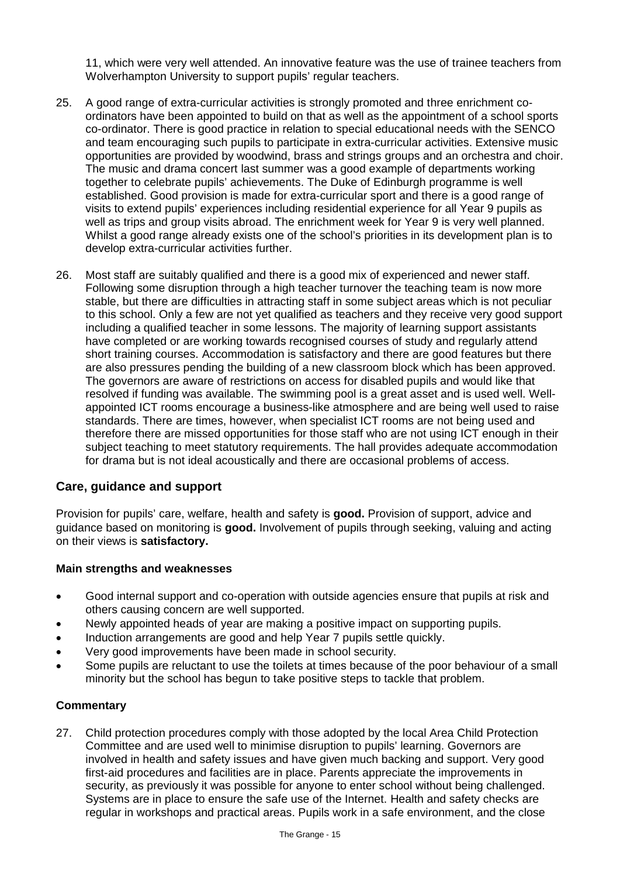11, which were very well attended. An innovative feature was the use of trainee teachers from Wolverhampton University to support pupils' regular teachers.

- 25. A good range of extra-curricular activities is strongly promoted and three enrichment coordinators have been appointed to build on that as well as the appointment of a school sports co-ordinator. There is good practice in relation to special educational needs with the SENCO and team encouraging such pupils to participate in extra-curricular activities. Extensive music opportunities are provided by woodwind, brass and strings groups and an orchestra and choir. The music and drama concert last summer was a good example of departments working together to celebrate pupils' achievements. The Duke of Edinburgh programme is well established. Good provision is made for extra-curricular sport and there is a good range of visits to extend pupils' experiences including residential experience for all Year 9 pupils as well as trips and group visits abroad. The enrichment week for Year 9 is very well planned. Whilst a good range already exists one of the school's priorities in its development plan is to develop extra-curricular activities further.
- 26. Most staff are suitably qualified and there is a good mix of experienced and newer staff. Following some disruption through a high teacher turnover the teaching team is now more stable, but there are difficulties in attracting staff in some subject areas which is not peculiar to this school. Only a few are not yet qualified as teachers and they receive very good support including a qualified teacher in some lessons. The majority of learning support assistants have completed or are working towards recognised courses of study and regularly attend short training courses. Accommodation is satisfactory and there are good features but there are also pressures pending the building of a new classroom block which has been approved. The governors are aware of restrictions on access for disabled pupils and would like that resolved if funding was available. The swimming pool is a great asset and is used well. Wellappointed ICT rooms encourage a business-like atmosphere and are being well used to raise standards. There are times, however, when specialist ICT rooms are not being used and therefore there are missed opportunities for those staff who are not using ICT enough in their subject teaching to meet statutory requirements. The hall provides adequate accommodation for drama but is not ideal acoustically and there are occasional problems of access.

## **Care, guidance and support**

Provision for pupils' care, welfare, health and safety is **good.** Provision of support, advice and guidance based on monitoring is **good.** Involvement of pupils through seeking, valuing and acting on their views is **satisfactory.**

#### **Main strengths and weaknesses**

- Good internal support and co-operation with outside agencies ensure that pupils at risk and others causing concern are well supported.
- Newly appointed heads of year are making a positive impact on supporting pupils.
- Induction arrangements are good and help Year 7 pupils settle quickly.
- Very good improvements have been made in school security.
- Some pupils are reluctant to use the toilets at times because of the poor behaviour of a small minority but the school has begun to take positive steps to tackle that problem.

#### **Commentary**

27. Child protection procedures comply with those adopted by the local Area Child Protection Committee and are used well to minimise disruption to pupils' learning. Governors are involved in health and safety issues and have given much backing and support. Very good first-aid procedures and facilities are in place. Parents appreciate the improvements in security, as previously it was possible for anyone to enter school without being challenged. Systems are in place to ensure the safe use of the Internet. Health and safety checks are regular in workshops and practical areas. Pupils work in a safe environment, and the close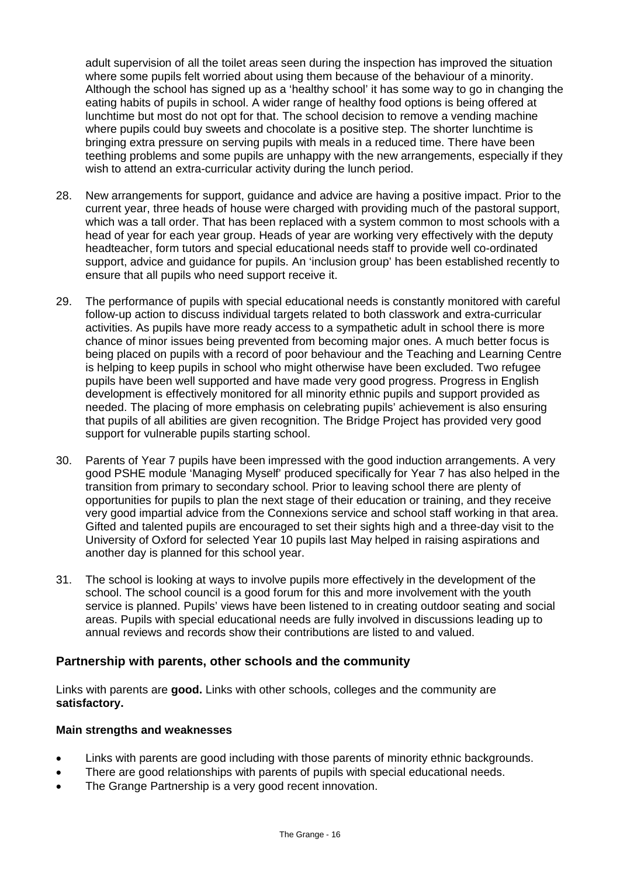adult supervision of all the toilet areas seen during the inspection has improved the situation where some pupils felt worried about using them because of the behaviour of a minority. Although the school has signed up as a 'healthy school' it has some way to go in changing the eating habits of pupils in school. A wider range of healthy food options is being offered at lunchtime but most do not opt for that. The school decision to remove a vending machine where pupils could buy sweets and chocolate is a positive step. The shorter lunchtime is bringing extra pressure on serving pupils with meals in a reduced time. There have been teething problems and some pupils are unhappy with the new arrangements, especially if they wish to attend an extra-curricular activity during the lunch period.

- 28. New arrangements for support, guidance and advice are having a positive impact. Prior to the current year, three heads of house were charged with providing much of the pastoral support, which was a tall order. That has been replaced with a system common to most schools with a head of year for each year group. Heads of year are working very effectively with the deputy headteacher, form tutors and special educational needs staff to provide well co-ordinated support, advice and guidance for pupils. An 'inclusion group' has been established recently to ensure that all pupils who need support receive it.
- 29. The performance of pupils with special educational needs is constantly monitored with careful follow-up action to discuss individual targets related to both classwork and extra-curricular activities. As pupils have more ready access to a sympathetic adult in school there is more chance of minor issues being prevented from becoming major ones. A much better focus is being placed on pupils with a record of poor behaviour and the Teaching and Learning Centre is helping to keep pupils in school who might otherwise have been excluded. Two refugee pupils have been well supported and have made very good progress. Progress in English development is effectively monitored for all minority ethnic pupils and support provided as needed. The placing of more emphasis on celebrating pupils' achievement is also ensuring that pupils of all abilities are given recognition. The Bridge Project has provided very good support for vulnerable pupils starting school.
- 30. Parents of Year 7 pupils have been impressed with the good induction arrangements. A very good PSHE module 'Managing Myself' produced specifically for Year 7 has also helped in the transition from primary to secondary school. Prior to leaving school there are plenty of opportunities for pupils to plan the next stage of their education or training, and they receive very good impartial advice from the Connexions service and school staff working in that area. Gifted and talented pupils are encouraged to set their sights high and a three-day visit to the University of Oxford for selected Year 10 pupils last May helped in raising aspirations and another day is planned for this school year.
- 31. The school is looking at ways to involve pupils more effectively in the development of the school. The school council is a good forum for this and more involvement with the youth service is planned. Pupils' views have been listened to in creating outdoor seating and social areas. Pupils with special educational needs are fully involved in discussions leading up to annual reviews and records show their contributions are listed to and valued.

## **Partnership with parents, other schools and the community**

Links with parents are **good.** Links with other schools, colleges and the community are **satisfactory.**

#### **Main strengths and weaknesses**

- Links with parents are good including with those parents of minority ethnic backgrounds.
- There are good relationships with parents of pupils with special educational needs.
- The Grange Partnership is a very good recent innovation.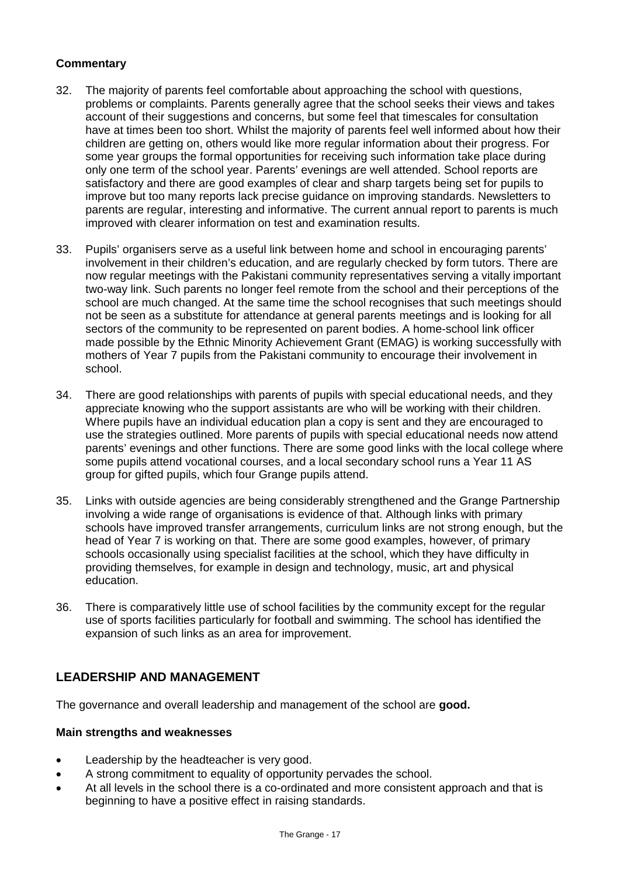## **Commentary**

- 32. The majority of parents feel comfortable about approaching the school with questions, problems or complaints. Parents generally agree that the school seeks their views and takes account of their suggestions and concerns, but some feel that timescales for consultation have at times been too short. Whilst the majority of parents feel well informed about how their children are getting on, others would like more regular information about their progress. For some year groups the formal opportunities for receiving such information take place during only one term of the school year. Parents' evenings are well attended. School reports are satisfactory and there are good examples of clear and sharp targets being set for pupils to improve but too many reports lack precise guidance on improving standards. Newsletters to parents are regular, interesting and informative. The current annual report to parents is much improved with clearer information on test and examination results.
- 33. Pupils' organisers serve as a useful link between home and school in encouraging parents' involvement in their children's education, and are regularly checked by form tutors. There are now regular meetings with the Pakistani community representatives serving a vitally important two-way link. Such parents no longer feel remote from the school and their perceptions of the school are much changed. At the same time the school recognises that such meetings should not be seen as a substitute for attendance at general parents meetings and is looking for all sectors of the community to be represented on parent bodies. A home-school link officer made possible by the Ethnic Minority Achievement Grant (EMAG) is working successfully with mothers of Year 7 pupils from the Pakistani community to encourage their involvement in school.
- 34. There are good relationships with parents of pupils with special educational needs, and they appreciate knowing who the support assistants are who will be working with their children. Where pupils have an individual education plan a copy is sent and they are encouraged to use the strategies outlined. More parents of pupils with special educational needs now attend parents' evenings and other functions. There are some good links with the local college where some pupils attend vocational courses, and a local secondary school runs a Year 11 AS group for gifted pupils, which four Grange pupils attend.
- 35. Links with outside agencies are being considerably strengthened and the Grange Partnership involving a wide range of organisations is evidence of that. Although links with primary schools have improved transfer arrangements, curriculum links are not strong enough, but the head of Year 7 is working on that. There are some good examples, however, of primary schools occasionally using specialist facilities at the school, which they have difficulty in providing themselves, for example in design and technology, music, art and physical education.
- 36. There is comparatively little use of school facilities by the community except for the regular use of sports facilities particularly for football and swimming. The school has identified the expansion of such links as an area for improvement.

## **LEADERSHIP AND MANAGEMENT**

The governance and overall leadership and management of the school are **good.**

#### **Main strengths and weaknesses**

- Leadership by the headteacher is very good.
- A strong commitment to equality of opportunity pervades the school.
- At all levels in the school there is a co-ordinated and more consistent approach and that is beginning to have a positive effect in raising standards.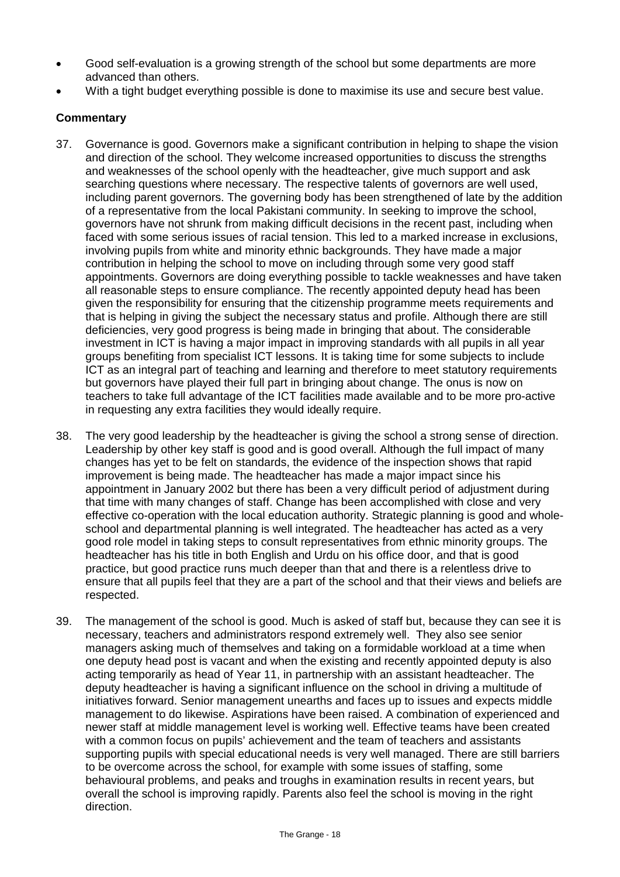- Good self-evaluation is a growing strength of the school but some departments are more advanced than others.
- With a tight budget everything possible is done to maximise its use and secure best value.

- 37. Governance is good. Governors make a significant contribution in helping to shape the vision and direction of the school. They welcome increased opportunities to discuss the strengths and weaknesses of the school openly with the headteacher, give much support and ask searching questions where necessary. The respective talents of governors are well used, including parent governors. The governing body has been strengthened of late by the addition of a representative from the local Pakistani community. In seeking to improve the school, governors have not shrunk from making difficult decisions in the recent past, including when faced with some serious issues of racial tension. This led to a marked increase in exclusions, involving pupils from white and minority ethnic backgrounds. They have made a major contribution in helping the school to move on including through some very good staff appointments. Governors are doing everything possible to tackle weaknesses and have taken all reasonable steps to ensure compliance. The recently appointed deputy head has been given the responsibility for ensuring that the citizenship programme meets requirements and that is helping in giving the subject the necessary status and profile. Although there are still deficiencies, very good progress is being made in bringing that about. The considerable investment in ICT is having a major impact in improving standards with all pupils in all year groups benefiting from specialist ICT lessons. It is taking time for some subjects to include ICT as an integral part of teaching and learning and therefore to meet statutory requirements but governors have played their full part in bringing about change. The onus is now on teachers to take full advantage of the ICT facilities made available and to be more pro-active in requesting any extra facilities they would ideally require.
- 38. The very good leadership by the headteacher is giving the school a strong sense of direction. Leadership by other key staff is good and is good overall. Although the full impact of many changes has yet to be felt on standards, the evidence of the inspection shows that rapid improvement is being made. The headteacher has made a major impact since his appointment in January 2002 but there has been a very difficult period of adjustment during that time with many changes of staff. Change has been accomplished with close and very effective co-operation with the local education authority. Strategic planning is good and wholeschool and departmental planning is well integrated. The headteacher has acted as a very good role model in taking steps to consult representatives from ethnic minority groups. The headteacher has his title in both English and Urdu on his office door, and that is good practice, but good practice runs much deeper than that and there is a relentless drive to ensure that all pupils feel that they are a part of the school and that their views and beliefs are respected.
- 39. The management of the school is good. Much is asked of staff but, because they can see it is necessary, teachers and administrators respond extremely well. They also see senior managers asking much of themselves and taking on a formidable workload at a time when one deputy head post is vacant and when the existing and recently appointed deputy is also acting temporarily as head of Year 11, in partnership with an assistant headteacher. The deputy headteacher is having a significant influence on the school in driving a multitude of initiatives forward. Senior management unearths and faces up to issues and expects middle management to do likewise. Aspirations have been raised. A combination of experienced and newer staff at middle management level is working well. Effective teams have been created with a common focus on pupils' achievement and the team of teachers and assistants supporting pupils with special educational needs is very well managed. There are still barriers to be overcome across the school, for example with some issues of staffing, some behavioural problems, and peaks and troughs in examination results in recent years, but overall the school is improving rapidly. Parents also feel the school is moving in the right direction.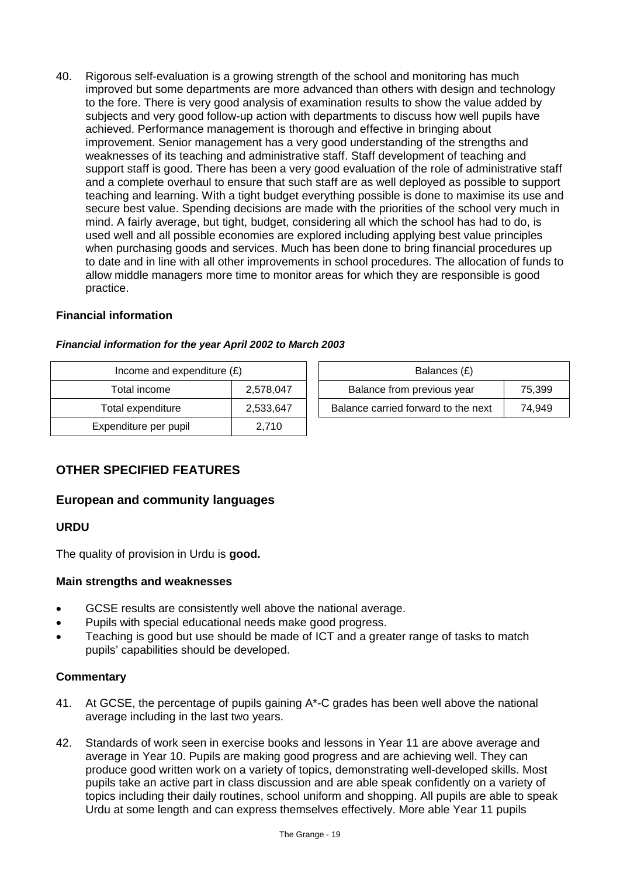40. Rigorous self-evaluation is a growing strength of the school and monitoring has much improved but some departments are more advanced than others with design and technology to the fore. There is very good analysis of examination results to show the value added by subjects and very good follow-up action with departments to discuss how well pupils have achieved. Performance management is thorough and effective in bringing about improvement. Senior management has a very good understanding of the strengths and weaknesses of its teaching and administrative staff. Staff development of teaching and support staff is good. There has been a very good evaluation of the role of administrative staff and a complete overhaul to ensure that such staff are as well deployed as possible to support teaching and learning. With a tight budget everything possible is done to maximise its use and secure best value. Spending decisions are made with the priorities of the school very much in mind. A fairly average, but tight, budget, considering all which the school has had to do, is used well and all possible economies are explored including applying best value principles when purchasing goods and services. Much has been done to bring financial procedures up to date and in line with all other improvements in school procedures. The allocation of funds to allow middle managers more time to monitor areas for which they are responsible is good practice.

## **Financial information**

| Income and expenditure $(E)$ |           | Balances (£)                        |        |  |
|------------------------------|-----------|-------------------------------------|--------|--|
| Total income                 | 2.578.047 | Balance from previous year          | 75,399 |  |
| Total expenditure            | 2,533,647 | Balance carried forward to the next | 74.949 |  |
| Expenditure per pupil        | 2,710     |                                     |        |  |

#### *Financial information for the year April 2002 to March 2003*

## **OTHER SPECIFIED FEATURES**

## **European and community languages**

#### **URDU**

The quality of provision in Urdu is **good.**

#### **Main strengths and weaknesses**

- GCSE results are consistently well above the national average.
- Pupils with special educational needs make good progress.
- Teaching is good but use should be made of ICT and a greater range of tasks to match pupils' capabilities should be developed.

- 41. At GCSE, the percentage of pupils gaining A\*-C grades has been well above the national average including in the last two years.
- 42. Standards of work seen in exercise books and lessons in Year 11 are above average and average in Year 10. Pupils are making good progress and are achieving well. They can produce good written work on a variety of topics, demonstrating well-developed skills. Most pupils take an active part in class discussion and are able speak confidently on a variety of topics including their daily routines, school uniform and shopping. All pupils are able to speak Urdu at some length and can express themselves effectively. More able Year 11 pupils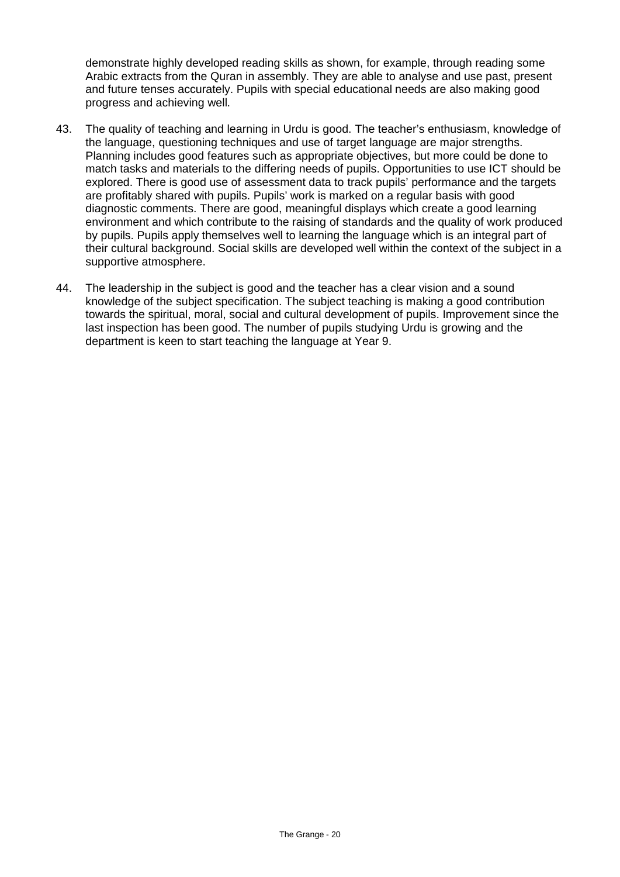demonstrate highly developed reading skills as shown, for example, through reading some Arabic extracts from the Quran in assembly. They are able to analyse and use past, present and future tenses accurately. Pupils with special educational needs are also making good progress and achieving well.

- 43. The quality of teaching and learning in Urdu is good. The teacher's enthusiasm, knowledge of the language, questioning techniques and use of target language are major strengths. Planning includes good features such as appropriate objectives, but more could be done to match tasks and materials to the differing needs of pupils. Opportunities to use ICT should be explored. There is good use of assessment data to track pupils' performance and the targets are profitably shared with pupils. Pupils' work is marked on a regular basis with good diagnostic comments. There are good, meaningful displays which create a good learning environment and which contribute to the raising of standards and the quality of work produced by pupils. Pupils apply themselves well to learning the language which is an integral part of their cultural background. Social skills are developed well within the context of the subject in a supportive atmosphere.
- 44. The leadership in the subject is good and the teacher has a clear vision and a sound knowledge of the subject specification. The subject teaching is making a good contribution towards the spiritual, moral, social and cultural development of pupils. Improvement since the last inspection has been good. The number of pupils studying Urdu is growing and the department is keen to start teaching the language at Year 9.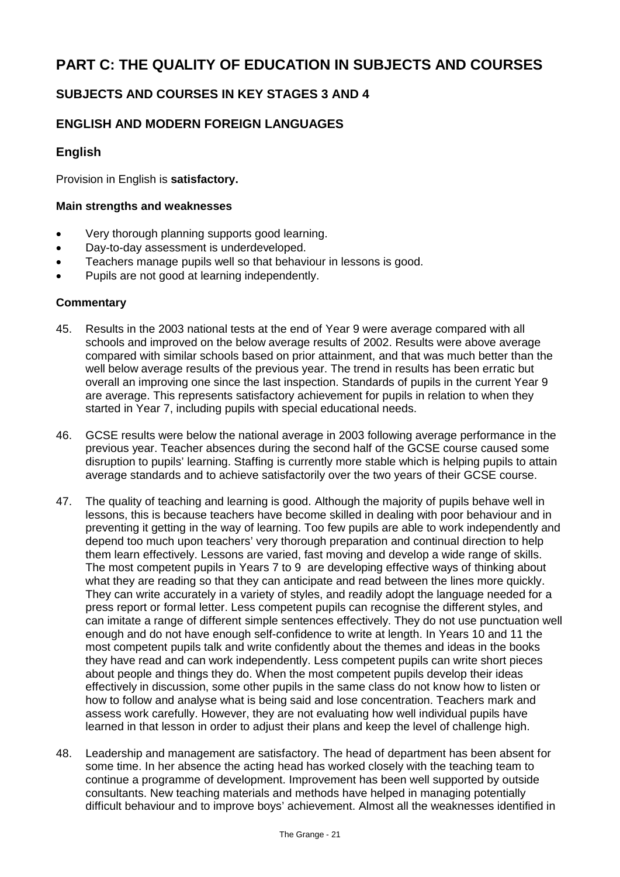# **PART C: THE QUALITY OF EDUCATION IN SUBJECTS AND COURSES**

## **SUBJECTS AND COURSES IN KEY STAGES 3 AND 4**

## **ENGLISH AND MODERN FOREIGN LANGUAGES**

## **English**

Provision in English is **satisfactory.**

#### **Main strengths and weaknesses**

- Very thorough planning supports good learning.
- Day-to-day assessment is underdeveloped.
- Teachers manage pupils well so that behaviour in lessons is good.
- Pupils are not good at learning independently.

- 45. Results in the 2003 national tests at the end of Year 9 were average compared with all schools and improved on the below average results of 2002. Results were above average compared with similar schools based on prior attainment, and that was much better than the well below average results of the previous year. The trend in results has been erratic but overall an improving one since the last inspection. Standards of pupils in the current Year 9 are average. This represents satisfactory achievement for pupils in relation to when they started in Year 7, including pupils with special educational needs.
- 46. GCSE results were below the national average in 2003 following average performance in the previous year. Teacher absences during the second half of the GCSE course caused some disruption to pupils' learning. Staffing is currently more stable which is helping pupils to attain average standards and to achieve satisfactorily over the two years of their GCSE course.
- 47. The quality of teaching and learning is good. Although the majority of pupils behave well in lessons, this is because teachers have become skilled in dealing with poor behaviour and in preventing it getting in the way of learning. Too few pupils are able to work independently and depend too much upon teachers' very thorough preparation and continual direction to help them learn effectively. Lessons are varied, fast moving and develop a wide range of skills. The most competent pupils in Years 7 to 9 are developing effective ways of thinking about what they are reading so that they can anticipate and read between the lines more quickly. They can write accurately in a variety of styles, and readily adopt the language needed for a press report or formal letter. Less competent pupils can recognise the different styles, and can imitate a range of different simple sentences effectively. They do not use punctuation well enough and do not have enough self-confidence to write at length. In Years 10 and 11 the most competent pupils talk and write confidently about the themes and ideas in the books they have read and can work independently. Less competent pupils can write short pieces about people and things they do. When the most competent pupils develop their ideas effectively in discussion, some other pupils in the same class do not know how to listen or how to follow and analyse what is being said and lose concentration. Teachers mark and assess work carefully. However, they are not evaluating how well individual pupils have learned in that lesson in order to adjust their plans and keep the level of challenge high.
- 48. Leadership and management are satisfactory. The head of department has been absent for some time. In her absence the acting head has worked closely with the teaching team to continue a programme of development. Improvement has been well supported by outside consultants. New teaching materials and methods have helped in managing potentially difficult behaviour and to improve boys' achievement. Almost all the weaknesses identified in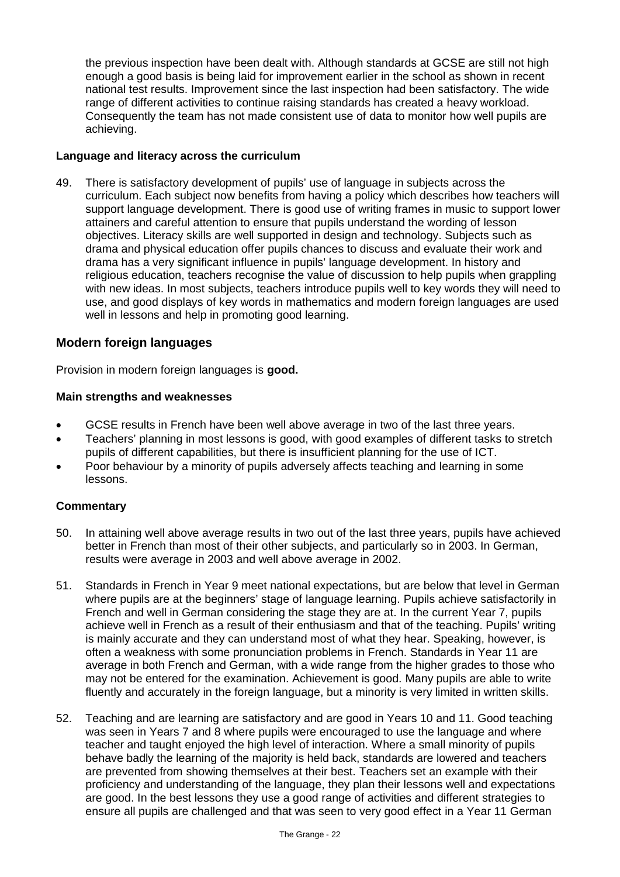the previous inspection have been dealt with. Although standards at GCSE are still not high enough a good basis is being laid for improvement earlier in the school as shown in recent national test results. Improvement since the last inspection had been satisfactory. The wide range of different activities to continue raising standards has created a heavy workload. Consequently the team has not made consistent use of data to monitor how well pupils are achieving.

#### **Language and literacy across the curriculum**

49. There is satisfactory development of pupils' use of language in subjects across the curriculum. Each subject now benefits from having a policy which describes how teachers will support language development. There is good use of writing frames in music to support lower attainers and careful attention to ensure that pupils understand the wording of lesson objectives. Literacy skills are well supported in design and technology. Subjects such as drama and physical education offer pupils chances to discuss and evaluate their work and drama has a very significant influence in pupils' language development. In history and religious education, teachers recognise the value of discussion to help pupils when grappling with new ideas. In most subjects, teachers introduce pupils well to key words they will need to use, and good displays of key words in mathematics and modern foreign languages are used well in lessons and help in promoting good learning.

#### **Modern foreign languages**

Provision in modern foreign languages is **good.**

#### **Main strengths and weaknesses**

- GCSE results in French have been well above average in two of the last three years.
- Teachers' planning in most lessons is good, with good examples of different tasks to stretch pupils of different capabilities, but there is insufficient planning for the use of ICT.
- Poor behaviour by a minority of pupils adversely affects teaching and learning in some lessons.

- 50. In attaining well above average results in two out of the last three years, pupils have achieved better in French than most of their other subjects, and particularly so in 2003. In German, results were average in 2003 and well above average in 2002.
- 51. Standards in French in Year 9 meet national expectations, but are below that level in German where pupils are at the beginners' stage of language learning. Pupils achieve satisfactorily in French and well in German considering the stage they are at. In the current Year 7, pupils achieve well in French as a result of their enthusiasm and that of the teaching. Pupils' writing is mainly accurate and they can understand most of what they hear. Speaking, however, is often a weakness with some pronunciation problems in French. Standards in Year 11 are average in both French and German, with a wide range from the higher grades to those who may not be entered for the examination. Achievement is good. Many pupils are able to write fluently and accurately in the foreign language, but a minority is very limited in written skills.
- 52. Teaching and are learning are satisfactory and are good in Years 10 and 11. Good teaching was seen in Years 7 and 8 where pupils were encouraged to use the language and where teacher and taught enjoyed the high level of interaction. Where a small minority of pupils behave badly the learning of the majority is held back, standards are lowered and teachers are prevented from showing themselves at their best. Teachers set an example with their proficiency and understanding of the language, they plan their lessons well and expectations are good. In the best lessons they use a good range of activities and different strategies to ensure all pupils are challenged and that was seen to very good effect in a Year 11 German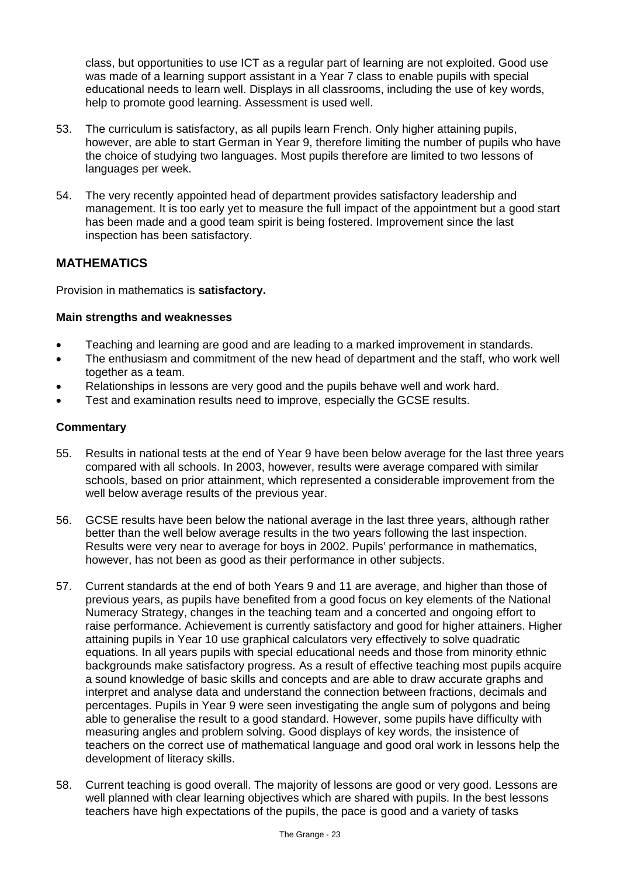class, but opportunities to use ICT as a regular part of learning are not exploited. Good use was made of a learning support assistant in a Year 7 class to enable pupils with special educational needs to learn well. Displays in all classrooms, including the use of key words, help to promote good learning. Assessment is used well.

- 53. The curriculum is satisfactory, as all pupils learn French. Only higher attaining pupils, however, are able to start German in Year 9, therefore limiting the number of pupils who have the choice of studying two languages. Most pupils therefore are limited to two lessons of languages per week.
- 54. The very recently appointed head of department provides satisfactory leadership and management. It is too early yet to measure the full impact of the appointment but a good start has been made and a good team spirit is being fostered. Improvement since the last inspection has been satisfactory.

## **MATHEMATICS**

Provision in mathematics is **satisfactory.**

#### **Main strengths and weaknesses**

- Teaching and learning are good and are leading to a marked improvement in standards.
- The enthusiasm and commitment of the new head of department and the staff, who work well together as a team.
- Relationships in lessons are very good and the pupils behave well and work hard.
- Test and examination results need to improve, especially the GCSE results.

- 55. Results in national tests at the end of Year 9 have been below average for the last three years compared with all schools. In 2003, however, results were average compared with similar schools, based on prior attainment, which represented a considerable improvement from the well below average results of the previous year.
- 56. GCSE results have been below the national average in the last three years, although rather better than the well below average results in the two years following the last inspection. Results were very near to average for boys in 2002. Pupils' performance in mathematics, however, has not been as good as their performance in other subjects.
- 57. Current standards at the end of both Years 9 and 11 are average, and higher than those of previous years, as pupils have benefited from a good focus on key elements of the National Numeracy Strategy, changes in the teaching team and a concerted and ongoing effort to raise performance. Achievement is currently satisfactory and good for higher attainers. Higher attaining pupils in Year 10 use graphical calculators very effectively to solve quadratic equations. In all years pupils with special educational needs and those from minority ethnic backgrounds make satisfactory progress. As a result of effective teaching most pupils acquire a sound knowledge of basic skills and concepts and are able to draw accurate graphs and interpret and analyse data and understand the connection between fractions, decimals and percentages. Pupils in Year 9 were seen investigating the angle sum of polygons and being able to generalise the result to a good standard. However, some pupils have difficulty with measuring angles and problem solving. Good displays of key words, the insistence of teachers on the correct use of mathematical language and good oral work in lessons help the development of literacy skills.
- 58. Current teaching is good overall. The majority of lessons are good or very good. Lessons are well planned with clear learning objectives which are shared with pupils. In the best lessons teachers have high expectations of the pupils, the pace is good and a variety of tasks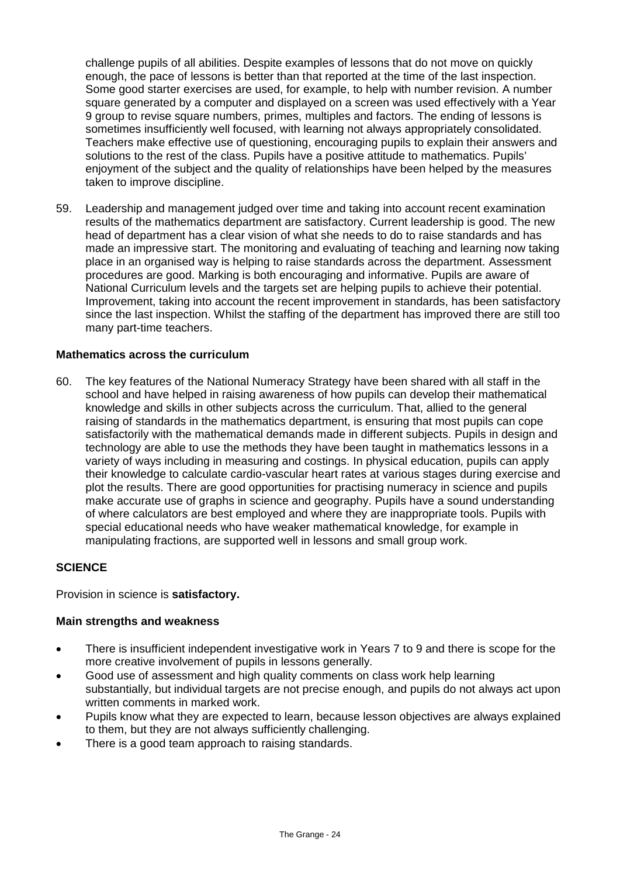challenge pupils of all abilities. Despite examples of lessons that do not move on quickly enough, the pace of lessons is better than that reported at the time of the last inspection. Some good starter exercises are used, for example, to help with number revision. A number square generated by a computer and displayed on a screen was used effectively with a Year 9 group to revise square numbers, primes, multiples and factors. The ending of lessons is sometimes insufficiently well focused, with learning not always appropriately consolidated. Teachers make effective use of questioning, encouraging pupils to explain their answers and solutions to the rest of the class. Pupils have a positive attitude to mathematics. Pupils' enjoyment of the subject and the quality of relationships have been helped by the measures taken to improve discipline.

59. Leadership and management judged over time and taking into account recent examination results of the mathematics department are satisfactory. Current leadership is good. The new head of department has a clear vision of what she needs to do to raise standards and has made an impressive start. The monitoring and evaluating of teaching and learning now taking place in an organised way is helping to raise standards across the department. Assessment procedures are good. Marking is both encouraging and informative. Pupils are aware of National Curriculum levels and the targets set are helping pupils to achieve their potential. Improvement, taking into account the recent improvement in standards, has been satisfactory since the last inspection. Whilst the staffing of the department has improved there are still too many part-time teachers.

#### **Mathematics across the curriculum**

60. The key features of the National Numeracy Strategy have been shared with all staff in the school and have helped in raising awareness of how pupils can develop their mathematical knowledge and skills in other subjects across the curriculum. That, allied to the general raising of standards in the mathematics department, is ensuring that most pupils can cope satisfactorily with the mathematical demands made in different subjects. Pupils in design and technology are able to use the methods they have been taught in mathematics lessons in a variety of ways including in measuring and costings. In physical education, pupils can apply their knowledge to calculate cardio-vascular heart rates at various stages during exercise and plot the results. There are good opportunities for practising numeracy in science and pupils make accurate use of graphs in science and geography. Pupils have a sound understanding of where calculators are best employed and where they are inappropriate tools. Pupils with special educational needs who have weaker mathematical knowledge, for example in manipulating fractions, are supported well in lessons and small group work.

#### **SCIENCE**

Provision in science is **satisfactory.**

#### **Main strengths and weakness**

- There is insufficient independent investigative work in Years 7 to 9 and there is scope for the more creative involvement of pupils in lessons generally.
- Good use of assessment and high quality comments on class work help learning substantially, but individual targets are not precise enough, and pupils do not always act upon written comments in marked work.
- Pupils know what they are expected to learn, because lesson objectives are always explained to them, but they are not always sufficiently challenging.
- There is a good team approach to raising standards.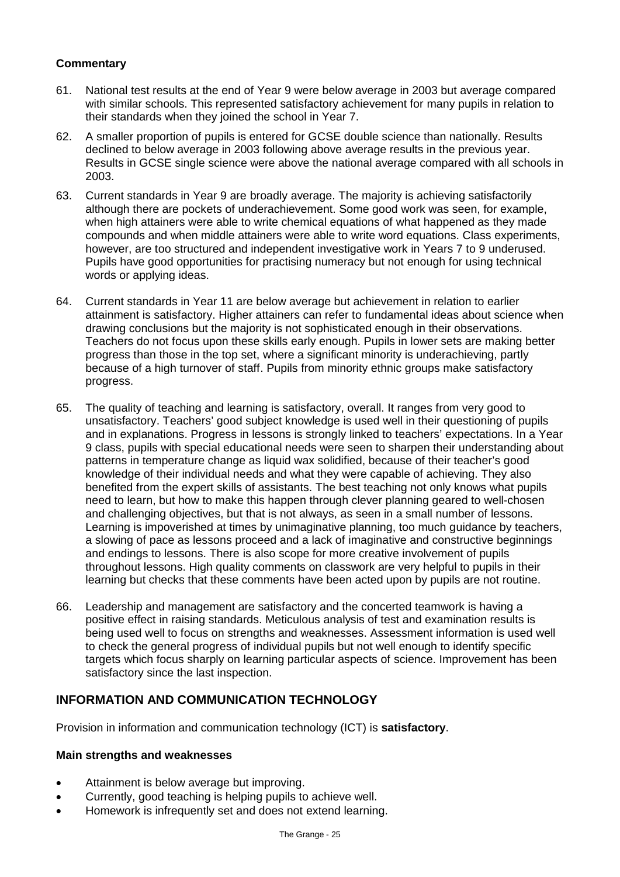## **Commentary**

- 61. National test results at the end of Year 9 were below average in 2003 but average compared with similar schools. This represented satisfactory achievement for many pupils in relation to their standards when they joined the school in Year 7.
- 62. A smaller proportion of pupils is entered for GCSE double science than nationally. Results declined to below average in 2003 following above average results in the previous year. Results in GCSE single science were above the national average compared with all schools in 2003.
- 63. Current standards in Year 9 are broadly average. The majority is achieving satisfactorily although there are pockets of underachievement. Some good work was seen, for example, when high attainers were able to write chemical equations of what happened as they made compounds and when middle attainers were able to write word equations. Class experiments, however, are too structured and independent investigative work in Years 7 to 9 underused. Pupils have good opportunities for practising numeracy but not enough for using technical words or applying ideas.
- 64. Current standards in Year 11 are below average but achievement in relation to earlier attainment is satisfactory. Higher attainers can refer to fundamental ideas about science when drawing conclusions but the majority is not sophisticated enough in their observations. Teachers do not focus upon these skills early enough. Pupils in lower sets are making better progress than those in the top set, where a significant minority is underachieving, partly because of a high turnover of staff. Pupils from minority ethnic groups make satisfactory progress.
- 65. The quality of teaching and learning is satisfactory, overall. It ranges from very good to unsatisfactory. Teachers' good subject knowledge is used well in their questioning of pupils and in explanations. Progress in lessons is strongly linked to teachers' expectations. In a Year 9 class, pupils with special educational needs were seen to sharpen their understanding about patterns in temperature change as liquid wax solidified, because of their teacher's good knowledge of their individual needs and what they were capable of achieving. They also benefited from the expert skills of assistants. The best teaching not only knows what pupils need to learn, but how to make this happen through clever planning geared to well-chosen and challenging objectives, but that is not always, as seen in a small number of lessons. Learning is impoverished at times by unimaginative planning, too much guidance by teachers, a slowing of pace as lessons proceed and a lack of imaginative and constructive beginnings and endings to lessons. There is also scope for more creative involvement of pupils throughout lessons. High quality comments on classwork are very helpful to pupils in their learning but checks that these comments have been acted upon by pupils are not routine.
- 66. Leadership and management are satisfactory and the concerted teamwork is having a positive effect in raising standards. Meticulous analysis of test and examination results is being used well to focus on strengths and weaknesses. Assessment information is used well to check the general progress of individual pupils but not well enough to identify specific targets which focus sharply on learning particular aspects of science. Improvement has been satisfactory since the last inspection.

## **INFORMATION AND COMMUNICATION TECHNOLOGY**

Provision in information and communication technology (ICT) is **satisfactory**.

## **Main strengths and weaknesses**

- Attainment is below average but improving.
- Currently, good teaching is helping pupils to achieve well.
- Homework is infrequently set and does not extend learning.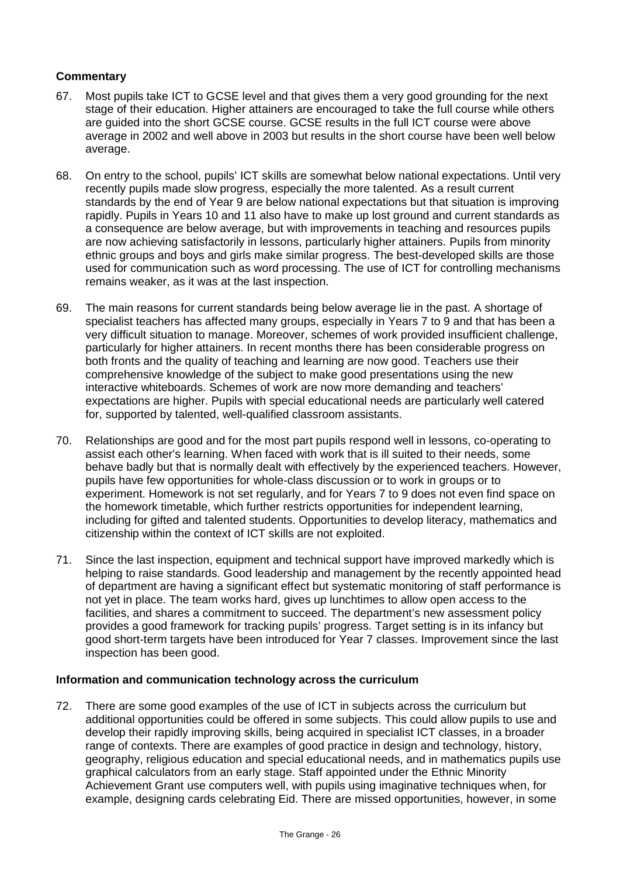### **Commentary**

- 67. Most pupils take ICT to GCSE level and that gives them a very good grounding for the next stage of their education. Higher attainers are encouraged to take the full course while others are guided into the short GCSE course. GCSE results in the full ICT course were above average in 2002 and well above in 2003 but results in the short course have been well below average.
- 68. On entry to the school, pupils' ICT skills are somewhat below national expectations. Until very recently pupils made slow progress, especially the more talented. As a result current standards by the end of Year 9 are below national expectations but that situation is improving rapidly. Pupils in Years 10 and 11 also have to make up lost ground and current standards as a consequence are below average, but with improvements in teaching and resources pupils are now achieving satisfactorily in lessons, particularly higher attainers. Pupils from minority ethnic groups and boys and girls make similar progress. The best-developed skills are those used for communication such as word processing. The use of ICT for controlling mechanisms remains weaker, as it was at the last inspection.
- 69. The main reasons for current standards being below average lie in the past. A shortage of specialist teachers has affected many groups, especially in Years 7 to 9 and that has been a very difficult situation to manage. Moreover, schemes of work provided insufficient challenge, particularly for higher attainers. In recent months there has been considerable progress on both fronts and the quality of teaching and learning are now good. Teachers use their comprehensive knowledge of the subject to make good presentations using the new interactive whiteboards. Schemes of work are now more demanding and teachers' expectations are higher. Pupils with special educational needs are particularly well catered for, supported by talented, well-qualified classroom assistants.
- 70. Relationships are good and for the most part pupils respond well in lessons, co-operating to assist each other's learning. When faced with work that is ill suited to their needs, some behave badly but that is normally dealt with effectively by the experienced teachers. However, pupils have few opportunities for whole-class discussion or to work in groups or to experiment. Homework is not set regularly, and for Years 7 to 9 does not even find space on the homework timetable, which further restricts opportunities for independent learning, including for gifted and talented students. Opportunities to develop literacy, mathematics and citizenship within the context of ICT skills are not exploited.
- 71. Since the last inspection, equipment and technical support have improved markedly which is helping to raise standards. Good leadership and management by the recently appointed head of department are having a significant effect but systematic monitoring of staff performance is not yet in place. The team works hard, gives up lunchtimes to allow open access to the facilities, and shares a commitment to succeed. The department's new assessment policy provides a good framework for tracking pupils' progress. Target setting is in its infancy but good short-term targets have been introduced for Year 7 classes. Improvement since the last inspection has been good.

#### **Information and communication technology across the curriculum**

72. There are some good examples of the use of ICT in subjects across the curriculum but additional opportunities could be offered in some subjects. This could allow pupils to use and develop their rapidly improving skills, being acquired in specialist ICT classes, in a broader range of contexts. There are examples of good practice in design and technology, history, geography, religious education and special educational needs, and in mathematics pupils use graphical calculators from an early stage. Staff appointed under the Ethnic Minority Achievement Grant use computers well, with pupils using imaginative techniques when, for example, designing cards celebrating Eid. There are missed opportunities, however, in some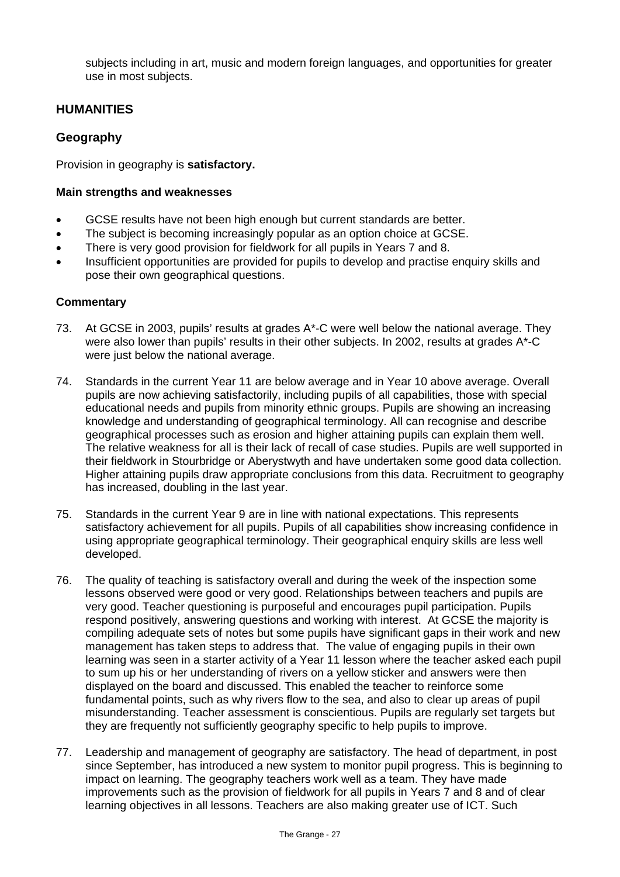subjects including in art, music and modern foreign languages, and opportunities for greater use in most subjects.

## **HUMANITIES**

## **Geography**

Provision in geography is **satisfactory.**

#### **Main strengths and weaknesses**

- GCSE results have not been high enough but current standards are better.
- The subject is becoming increasingly popular as an option choice at GCSE.
- There is very good provision for fieldwork for all pupils in Years 7 and 8.
- Insufficient opportunities are provided for pupils to develop and practise enquiry skills and pose their own geographical questions.

- 73. At GCSE in 2003, pupils' results at grades A\*-C were well below the national average. They were also lower than pupils' results in their other subjects. In 2002, results at grades A\*-C were just below the national average.
- 74. Standards in the current Year 11 are below average and in Year 10 above average. Overall pupils are now achieving satisfactorily, including pupils of all capabilities, those with special educational needs and pupils from minority ethnic groups. Pupils are showing an increasing knowledge and understanding of geographical terminology. All can recognise and describe geographical processes such as erosion and higher attaining pupils can explain them well. The relative weakness for all is their lack of recall of case studies. Pupils are well supported in their fieldwork in Stourbridge or Aberystwyth and have undertaken some good data collection. Higher attaining pupils draw appropriate conclusions from this data. Recruitment to geography has increased, doubling in the last year.
- 75. Standards in the current Year 9 are in line with national expectations. This represents satisfactory achievement for all pupils. Pupils of all capabilities show increasing confidence in using appropriate geographical terminology. Their geographical enquiry skills are less well developed.
- 76. The quality of teaching is satisfactory overall and during the week of the inspection some lessons observed were good or very good. Relationships between teachers and pupils are very good. Teacher questioning is purposeful and encourages pupil participation. Pupils respond positively, answering questions and working with interest. At GCSE the majority is compiling adequate sets of notes but some pupils have significant gaps in their work and new management has taken steps to address that. The value of engaging pupils in their own learning was seen in a starter activity of a Year 11 lesson where the teacher asked each pupil to sum up his or her understanding of rivers on a yellow sticker and answers were then displayed on the board and discussed. This enabled the teacher to reinforce some fundamental points, such as why rivers flow to the sea, and also to clear up areas of pupil misunderstanding. Teacher assessment is conscientious. Pupils are regularly set targets but they are frequently not sufficiently geography specific to help pupils to improve.
- 77. Leadership and management of geography are satisfactory. The head of department, in post since September, has introduced a new system to monitor pupil progress. This is beginning to impact on learning. The geography teachers work well as a team. They have made improvements such as the provision of fieldwork for all pupils in Years 7 and 8 and of clear learning objectives in all lessons. Teachers are also making greater use of ICT. Such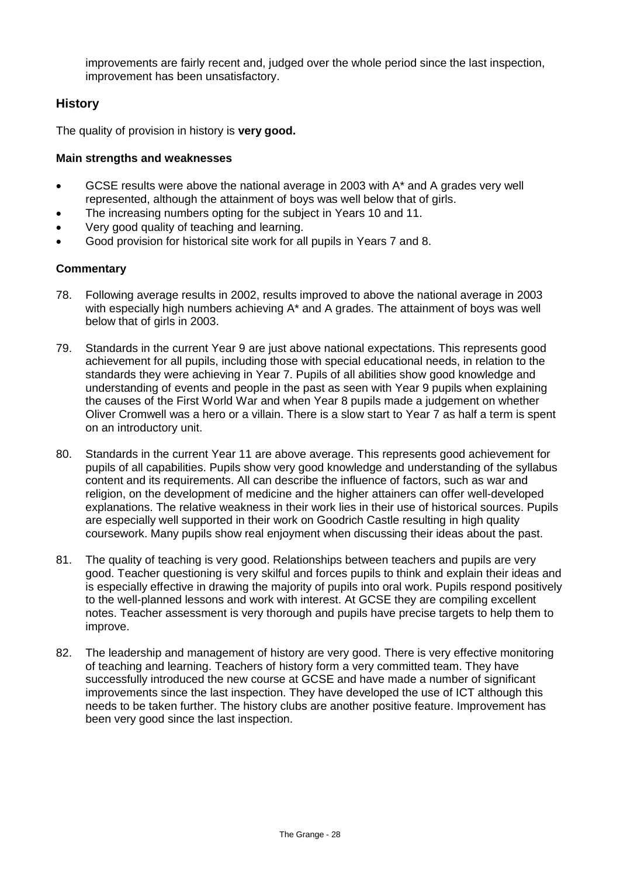improvements are fairly recent and, judged over the whole period since the last inspection, improvement has been unsatisfactory.

## **History**

The quality of provision in history is **very good.**

#### **Main strengths and weaknesses**

- GCSE results were above the national average in 2003 with A\* and A grades very well represented, although the attainment of boys was well below that of girls.
- The increasing numbers opting for the subject in Years 10 and 11.
- Very good quality of teaching and learning.
- Good provision for historical site work for all pupils in Years 7 and 8.

- 78. Following average results in 2002, results improved to above the national average in 2003 with especially high numbers achieving A<sup>\*</sup> and A grades. The attainment of boys was well below that of girls in 2003.
- 79. Standards in the current Year 9 are just above national expectations. This represents good achievement for all pupils, including those with special educational needs, in relation to the standards they were achieving in Year 7. Pupils of all abilities show good knowledge and understanding of events and people in the past as seen with Year 9 pupils when explaining the causes of the First World War and when Year 8 pupils made a judgement on whether Oliver Cromwell was a hero or a villain. There is a slow start to Year 7 as half a term is spent on an introductory unit.
- 80. Standards in the current Year 11 are above average. This represents good achievement for pupils of all capabilities. Pupils show very good knowledge and understanding of the syllabus content and its requirements. All can describe the influence of factors, such as war and religion, on the development of medicine and the higher attainers can offer well-developed explanations. The relative weakness in their work lies in their use of historical sources. Pupils are especially well supported in their work on Goodrich Castle resulting in high quality coursework. Many pupils show real enjoyment when discussing their ideas about the past.
- 81. The quality of teaching is very good. Relationships between teachers and pupils are very good. Teacher questioning is very skilful and forces pupils to think and explain their ideas and is especially effective in drawing the majority of pupils into oral work. Pupils respond positively to the well-planned lessons and work with interest. At GCSE they are compiling excellent notes. Teacher assessment is very thorough and pupils have precise targets to help them to improve.
- 82. The leadership and management of history are very good. There is very effective monitoring of teaching and learning. Teachers of history form a very committed team. They have successfully introduced the new course at GCSE and have made a number of significant improvements since the last inspection. They have developed the use of ICT although this needs to be taken further. The history clubs are another positive feature. Improvement has been very good since the last inspection.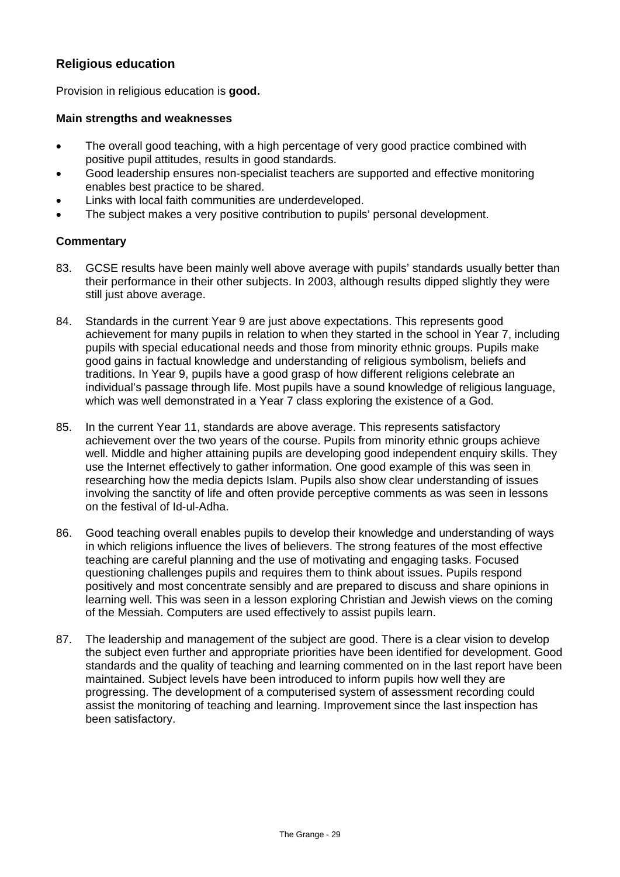## **Religious education**

Provision in religious education is **good.**

#### **Main strengths and weaknesses**

- The overall good teaching, with a high percentage of very good practice combined with positive pupil attitudes, results in good standards.
- Good leadership ensures non-specialist teachers are supported and effective monitoring enables best practice to be shared.
- Links with local faith communities are underdeveloped.
- The subject makes a very positive contribution to pupils' personal development.

- 83. GCSE results have been mainly well above average with pupils' standards usually better than their performance in their other subjects. In 2003, although results dipped slightly they were still just above average.
- 84. Standards in the current Year 9 are just above expectations. This represents good achievement for many pupils in relation to when they started in the school in Year 7, including pupils with special educational needs and those from minority ethnic groups. Pupils make good gains in factual knowledge and understanding of religious symbolism, beliefs and traditions. In Year 9, pupils have a good grasp of how different religions celebrate an individual's passage through life. Most pupils have a sound knowledge of religious language, which was well demonstrated in a Year 7 class exploring the existence of a God.
- 85. In the current Year 11, standards are above average. This represents satisfactory achievement over the two years of the course. Pupils from minority ethnic groups achieve well. Middle and higher attaining pupils are developing good independent enquiry skills. They use the Internet effectively to gather information. One good example of this was seen in researching how the media depicts Islam. Pupils also show clear understanding of issues involving the sanctity of life and often provide perceptive comments as was seen in lessons on the festival of Id-ul-Adha.
- 86. Good teaching overall enables pupils to develop their knowledge and understanding of ways in which religions influence the lives of believers. The strong features of the most effective teaching are careful planning and the use of motivating and engaging tasks. Focused questioning challenges pupils and requires them to think about issues. Pupils respond positively and most concentrate sensibly and are prepared to discuss and share opinions in learning well. This was seen in a lesson exploring Christian and Jewish views on the coming of the Messiah. Computers are used effectively to assist pupils learn.
- 87. The leadership and management of the subject are good. There is a clear vision to develop the subject even further and appropriate priorities have been identified for development. Good standards and the quality of teaching and learning commented on in the last report have been maintained. Subject levels have been introduced to inform pupils how well they are progressing. The development of a computerised system of assessment recording could assist the monitoring of teaching and learning. Improvement since the last inspection has been satisfactory.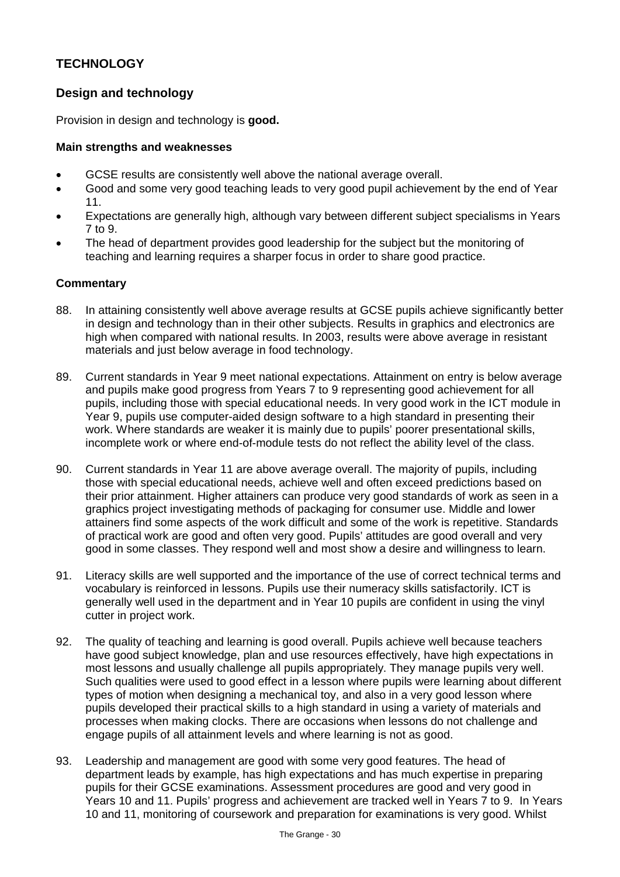## **TECHNOLOGY**

## **Design and technology**

Provision in design and technology is **good.**

#### **Main strengths and weaknesses**

- GCSE results are consistently well above the national average overall.
- Good and some very good teaching leads to very good pupil achievement by the end of Year 11.
- Expectations are generally high, although vary between different subject specialisms in Years 7 to 9.
- The head of department provides good leadership for the subject but the monitoring of teaching and learning requires a sharper focus in order to share good practice.

- 88. In attaining consistently well above average results at GCSE pupils achieve significantly better in design and technology than in their other subjects. Results in graphics and electronics are high when compared with national results. In 2003, results were above average in resistant materials and just below average in food technology.
- 89. Current standards in Year 9 meet national expectations. Attainment on entry is below average and pupils make good progress from Years 7 to 9 representing good achievement for all pupils, including those with special educational needs. In very good work in the ICT module in Year 9, pupils use computer-aided design software to a high standard in presenting their work. Where standards are weaker it is mainly due to pupils' poorer presentational skills, incomplete work or where end-of-module tests do not reflect the ability level of the class.
- 90. Current standards in Year 11 are above average overall. The majority of pupils, including those with special educational needs, achieve well and often exceed predictions based on their prior attainment. Higher attainers can produce very good standards of work as seen in a graphics project investigating methods of packaging for consumer use. Middle and lower attainers find some aspects of the work difficult and some of the work is repetitive. Standards of practical work are good and often very good. Pupils' attitudes are good overall and very good in some classes. They respond well and most show a desire and willingness to learn.
- 91. Literacy skills are well supported and the importance of the use of correct technical terms and vocabulary is reinforced in lessons. Pupils use their numeracy skills satisfactorily. ICT is generally well used in the department and in Year 10 pupils are confident in using the vinyl cutter in project work.
- 92. The quality of teaching and learning is good overall. Pupils achieve well because teachers have good subject knowledge, plan and use resources effectively, have high expectations in most lessons and usually challenge all pupils appropriately. They manage pupils very well. Such qualities were used to good effect in a lesson where pupils were learning about different types of motion when designing a mechanical toy, and also in a very good lesson where pupils developed their practical skills to a high standard in using a variety of materials and processes when making clocks. There are occasions when lessons do not challenge and engage pupils of all attainment levels and where learning is not as good.
- 93. Leadership and management are good with some very good features. The head of department leads by example, has high expectations and has much expertise in preparing pupils for their GCSE examinations. Assessment procedures are good and very good in Years 10 and 11. Pupils' progress and achievement are tracked well in Years 7 to 9. In Years 10 and 11, monitoring of coursework and preparation for examinations is very good. Whilst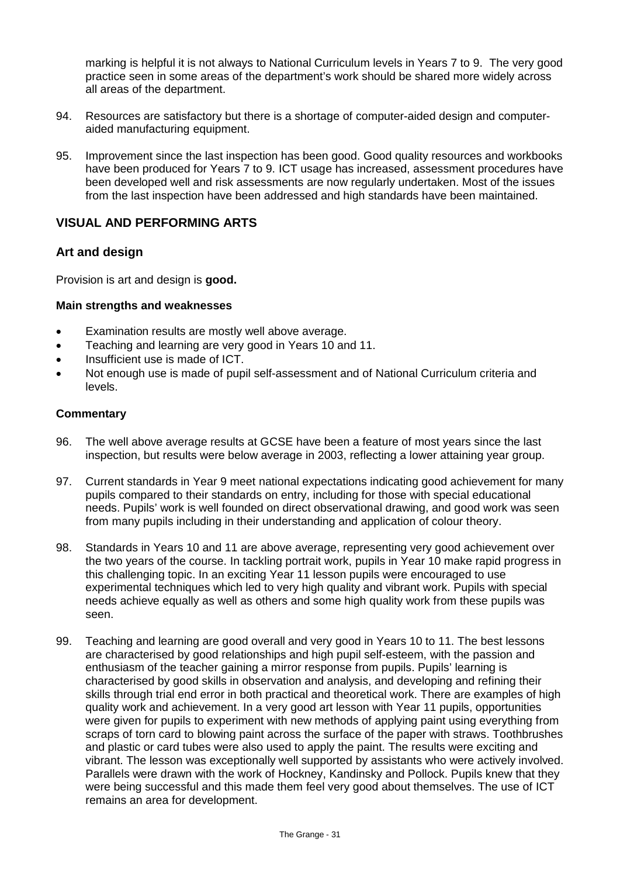marking is helpful it is not always to National Curriculum levels in Years 7 to 9. The very good practice seen in some areas of the department's work should be shared more widely across all areas of the department.

- 94. Resources are satisfactory but there is a shortage of computer-aided design and computeraided manufacturing equipment.
- 95. Improvement since the last inspection has been good. Good quality resources and workbooks have been produced for Years 7 to 9. ICT usage has increased, assessment procedures have been developed well and risk assessments are now regularly undertaken. Most of the issues from the last inspection have been addressed and high standards have been maintained.

### **VISUAL AND PERFORMING ARTS**

#### **Art and design**

Provision is art and design is **good.**

#### **Main strengths and weaknesses**

- Examination results are mostly well above average.
- Teaching and learning are very good in Years 10 and 11.
- Insufficient use is made of ICT.
- Not enough use is made of pupil self-assessment and of National Curriculum criteria and levels.

- 96. The well above average results at GCSE have been a feature of most years since the last inspection, but results were below average in 2003, reflecting a lower attaining year group.
- 97. Current standards in Year 9 meet national expectations indicating good achievement for many pupils compared to their standards on entry, including for those with special educational needs. Pupils' work is well founded on direct observational drawing, and good work was seen from many pupils including in their understanding and application of colour theory.
- 98. Standards in Years 10 and 11 are above average, representing very good achievement over the two years of the course. In tackling portrait work, pupils in Year 10 make rapid progress in this challenging topic. In an exciting Year 11 lesson pupils were encouraged to use experimental techniques which led to very high quality and vibrant work. Pupils with special needs achieve equally as well as others and some high quality work from these pupils was seen.
- 99. Teaching and learning are good overall and very good in Years 10 to 11. The best lessons are characterised by good relationships and high pupil self-esteem, with the passion and enthusiasm of the teacher gaining a mirror response from pupils. Pupils' learning is characterised by good skills in observation and analysis, and developing and refining their skills through trial end error in both practical and theoretical work. There are examples of high quality work and achievement. In a very good art lesson with Year 11 pupils, opportunities were given for pupils to experiment with new methods of applying paint using everything from scraps of torn card to blowing paint across the surface of the paper with straws. Toothbrushes and plastic or card tubes were also used to apply the paint. The results were exciting and vibrant. The lesson was exceptionally well supported by assistants who were actively involved. Parallels were drawn with the work of Hockney, Kandinsky and Pollock. Pupils knew that they were being successful and this made them feel very good about themselves. The use of ICT remains an area for development.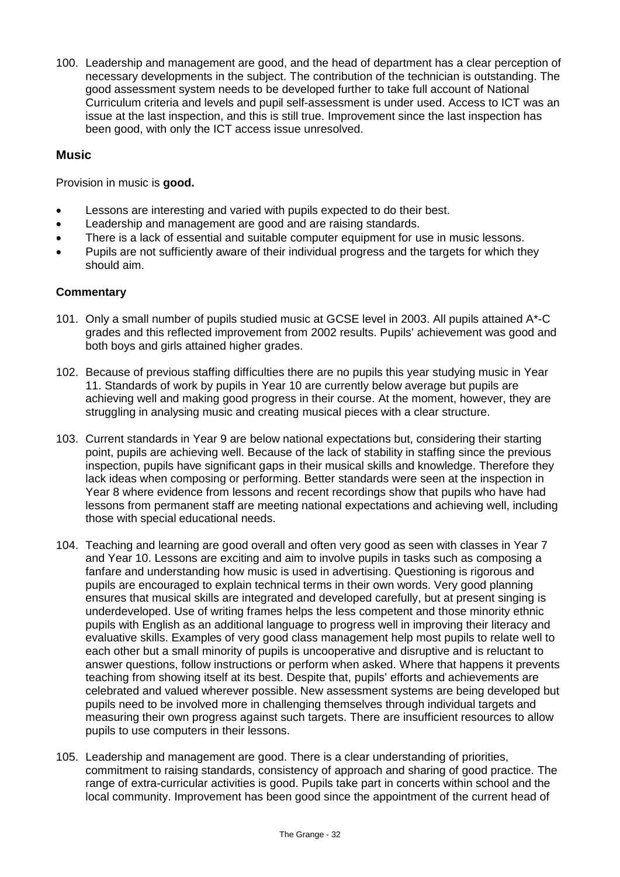100. Leadership and management are good, and the head of department has a clear perception of necessary developments in the subject. The contribution of the technician is outstanding. The good assessment system needs to be developed further to take full account of National Curriculum criteria and levels and pupil self-assessment is under used. Access to ICT was an issue at the last inspection, and this is still true. Improvement since the last inspection has been good, with only the ICT access issue unresolved.

### **Music**

Provision in music is **good.**

- Lessons are interesting and varied with pupils expected to do their best.
- Leadership and management are good and are raising standards.
- There is a lack of essential and suitable computer equipment for use in music lessons.
- Pupils are not sufficiently aware of their individual progress and the targets for which they should aim.

- 101. Only a small number of pupils studied music at GCSE level in 2003. All pupils attained A\*-C grades and this reflected improvement from 2002 results. Pupils' achievement was good and both boys and girls attained higher grades.
- 102. Because of previous staffing difficulties there are no pupils this year studying music in Year 11. Standards of work by pupils in Year 10 are currently below average but pupils are achieving well and making good progress in their course. At the moment, however, they are struggling in analysing music and creating musical pieces with a clear structure.
- 103. Current standards in Year 9 are below national expectations but, considering their starting point, pupils are achieving well. Because of the lack of stability in staffing since the previous inspection, pupils have significant gaps in their musical skills and knowledge. Therefore they lack ideas when composing or performing. Better standards were seen at the inspection in Year 8 where evidence from lessons and recent recordings show that pupils who have had lessons from permanent staff are meeting national expectations and achieving well, including those with special educational needs.
- 104. Teaching and learning are good overall and often very good as seen with classes in Year 7 and Year 10. Lessons are exciting and aim to involve pupils in tasks such as composing a fanfare and understanding how music is used in advertising. Questioning is rigorous and pupils are encouraged to explain technical terms in their own words. Very good planning ensures that musical skills are integrated and developed carefully, but at present singing is underdeveloped. Use of writing frames helps the less competent and those minority ethnic pupils with English as an additional language to progress well in improving their literacy and evaluative skills. Examples of very good class management help most pupils to relate well to each other but a small minority of pupils is uncooperative and disruptive and is reluctant to answer questions, follow instructions or perform when asked. Where that happens it prevents teaching from showing itself at its best. Despite that, pupils' efforts and achievements are celebrated and valued wherever possible. New assessment systems are being developed but pupils need to be involved more in challenging themselves through individual targets and measuring their own progress against such targets. There are insufficient resources to allow pupils to use computers in their lessons.
- 105. Leadership and management are good. There is a clear understanding of priorities, commitment to raising standards, consistency of approach and sharing of good practice. The range of extra-curricular activities is good. Pupils take part in concerts within school and the local community. Improvement has been good since the appointment of the current head of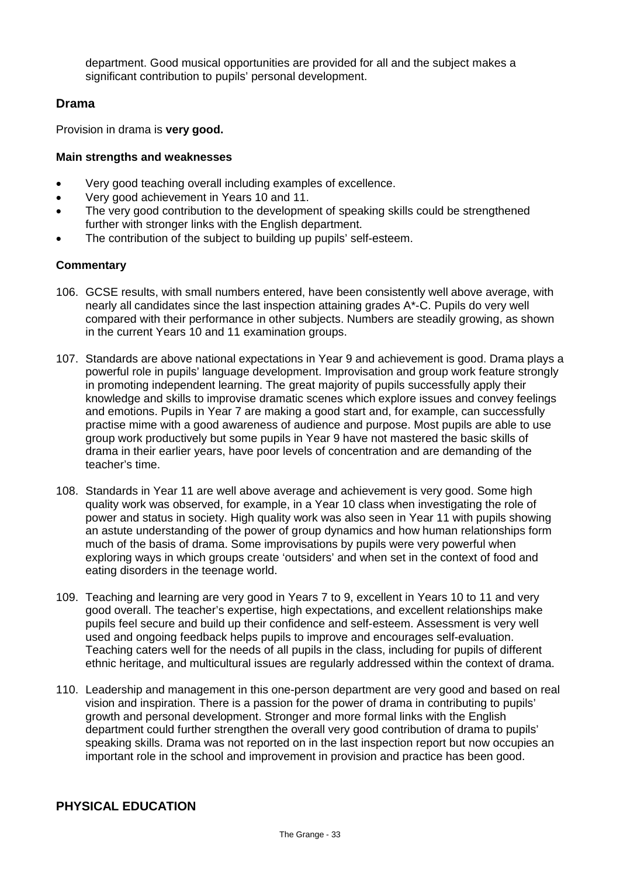department. Good musical opportunities are provided for all and the subject makes a significant contribution to pupils' personal development.

## **Drama**

Provision in drama is **very good.**

#### **Main strengths and weaknesses**

- Very good teaching overall including examples of excellence.
- Very good achievement in Years 10 and 11.
- The very good contribution to the development of speaking skills could be strengthened further with stronger links with the English department.
- The contribution of the subject to building up pupils' self-esteem.

#### **Commentary**

- 106. GCSE results, with small numbers entered, have been consistently well above average, with nearly all candidates since the last inspection attaining grades A\*-C. Pupils do very well compared with their performance in other subjects. Numbers are steadily growing, as shown in the current Years 10 and 11 examination groups.
- 107. Standards are above national expectations in Year 9 and achievement is good. Drama plays a powerful role in pupils' language development. Improvisation and group work feature strongly in promoting independent learning. The great majority of pupils successfully apply their knowledge and skills to improvise dramatic scenes which explore issues and convey feelings and emotions. Pupils in Year 7 are making a good start and, for example, can successfully practise mime with a good awareness of audience and purpose. Most pupils are able to use group work productively but some pupils in Year 9 have not mastered the basic skills of drama in their earlier years, have poor levels of concentration and are demanding of the teacher's time.
- 108. Standards in Year 11 are well above average and achievement is very good. Some high quality work was observed, for example, in a Year 10 class when investigating the role of power and status in society. High quality work was also seen in Year 11 with pupils showing an astute understanding of the power of group dynamics and how human relationships form much of the basis of drama. Some improvisations by pupils were very powerful when exploring ways in which groups create 'outsiders' and when set in the context of food and eating disorders in the teenage world.
- 109. Teaching and learning are very good in Years 7 to 9, excellent in Years 10 to 11 and very good overall. The teacher's expertise, high expectations, and excellent relationships make pupils feel secure and build up their confidence and self-esteem. Assessment is very well used and ongoing feedback helps pupils to improve and encourages self-evaluation. Teaching caters well for the needs of all pupils in the class, including for pupils of different ethnic heritage, and multicultural issues are regularly addressed within the context of drama.
- 110. Leadership and management in this one-person department are very good and based on real vision and inspiration. There is a passion for the power of drama in contributing to pupils' growth and personal development. Stronger and more formal links with the English department could further strengthen the overall very good contribution of drama to pupils' speaking skills. Drama was not reported on in the last inspection report but now occupies an important role in the school and improvement in provision and practice has been good.

## **PHYSICAL EDUCATION**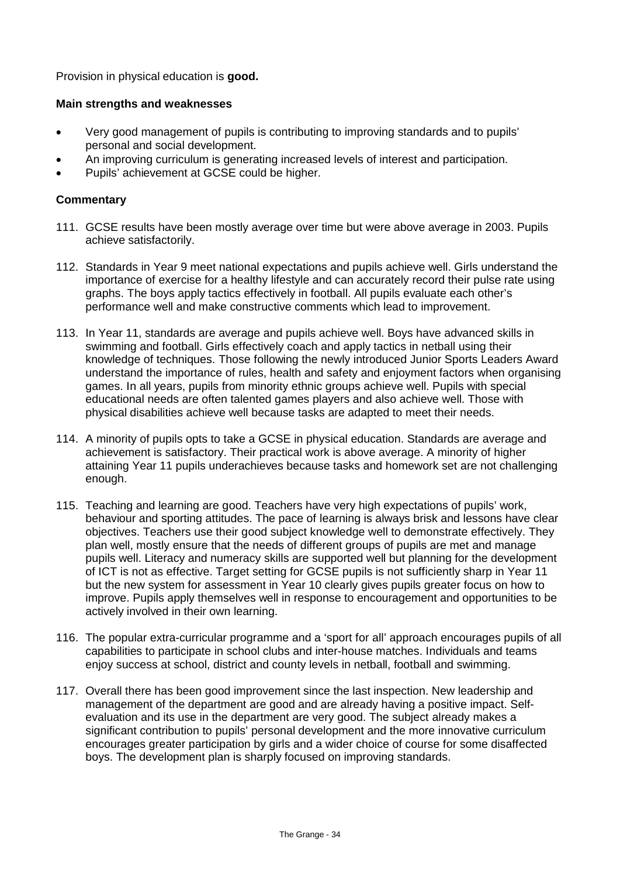Provision in physical education is **good.**

#### **Main strengths and weaknesses**

- Very good management of pupils is contributing to improving standards and to pupils' personal and social development.
- An improving curriculum is generating increased levels of interest and participation.
- Pupils' achievement at GCSE could be higher.

- 111. GCSE results have been mostly average over time but were above average in 2003. Pupils achieve satisfactorily.
- 112. Standards in Year 9 meet national expectations and pupils achieve well. Girls understand the importance of exercise for a healthy lifestyle and can accurately record their pulse rate using graphs. The boys apply tactics effectively in football. All pupils evaluate each other's performance well and make constructive comments which lead to improvement.
- 113. In Year 11, standards are average and pupils achieve well. Boys have advanced skills in swimming and football. Girls effectively coach and apply tactics in netball using their knowledge of techniques. Those following the newly introduced Junior Sports Leaders Award understand the importance of rules, health and safety and enjoyment factors when organising games. In all years, pupils from minority ethnic groups achieve well. Pupils with special educational needs are often talented games players and also achieve well. Those with physical disabilities achieve well because tasks are adapted to meet their needs.
- 114. A minority of pupils opts to take a GCSE in physical education. Standards are average and achievement is satisfactory. Their practical work is above average. A minority of higher attaining Year 11 pupils underachieves because tasks and homework set are not challenging enough.
- 115. Teaching and learning are good. Teachers have very high expectations of pupils' work, behaviour and sporting attitudes. The pace of learning is always brisk and lessons have clear objectives. Teachers use their good subject knowledge well to demonstrate effectively. They plan well, mostly ensure that the needs of different groups of pupils are met and manage pupils well. Literacy and numeracy skills are supported well but planning for the development of ICT is not as effective. Target setting for GCSE pupils is not sufficiently sharp in Year 11 but the new system for assessment in Year 10 clearly gives pupils greater focus on how to improve. Pupils apply themselves well in response to encouragement and opportunities to be actively involved in their own learning.
- 116. The popular extra-curricular programme and a 'sport for all' approach encourages pupils of all capabilities to participate in school clubs and inter-house matches. Individuals and teams enjoy success at school, district and county levels in netball, football and swimming.
- 117. Overall there has been good improvement since the last inspection. New leadership and management of the department are good and are already having a positive impact. Selfevaluation and its use in the department are very good. The subject already makes a significant contribution to pupils' personal development and the more innovative curriculum encourages greater participation by girls and a wider choice of course for some disaffected boys. The development plan is sharply focused on improving standards.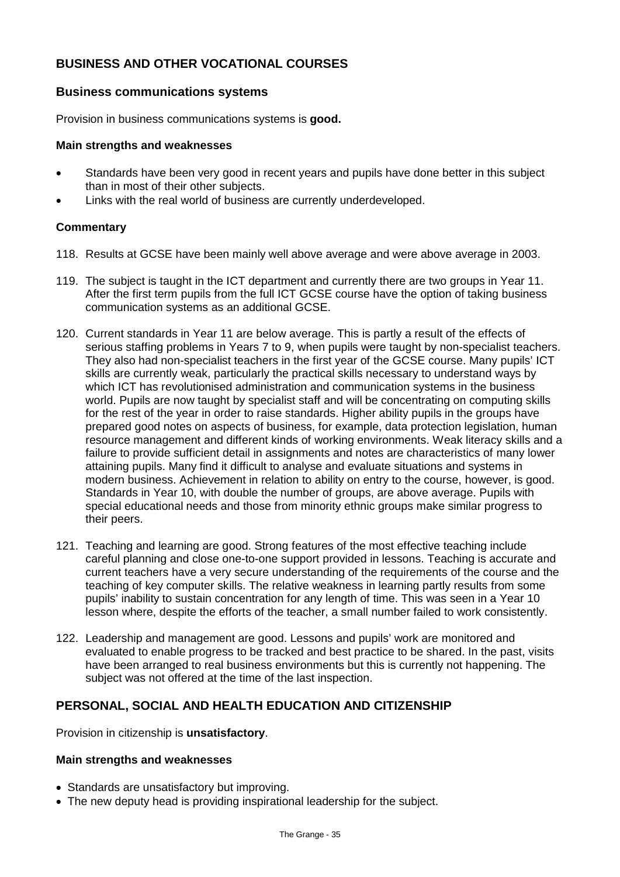## **BUSINESS AND OTHER VOCATIONAL COURSES**

#### **Business communications systems**

Provision in business communications systems is **good.**

#### **Main strengths and weaknesses**

- Standards have been very good in recent years and pupils have done better in this subject than in most of their other subjects.
- Links with the real world of business are currently underdeveloped.

#### **Commentary**

- 118. Results at GCSE have been mainly well above average and were above average in 2003.
- 119. The subject is taught in the ICT department and currently there are two groups in Year 11. After the first term pupils from the full ICT GCSE course have the option of taking business communication systems as an additional GCSE.
- 120. Current standards in Year 11 are below average. This is partly a result of the effects of serious staffing problems in Years 7 to 9, when pupils were taught by non-specialist teachers. They also had non-specialist teachers in the first year of the GCSE course. Many pupils' ICT skills are currently weak, particularly the practical skills necessary to understand ways by which ICT has revolutionised administration and communication systems in the business world. Pupils are now taught by specialist staff and will be concentrating on computing skills for the rest of the year in order to raise standards. Higher ability pupils in the groups have prepared good notes on aspects of business, for example, data protection legislation, human resource management and different kinds of working environments. Weak literacy skills and a failure to provide sufficient detail in assignments and notes are characteristics of many lower attaining pupils. Many find it difficult to analyse and evaluate situations and systems in modern business. Achievement in relation to ability on entry to the course, however, is good. Standards in Year 10, with double the number of groups, are above average. Pupils with special educational needs and those from minority ethnic groups make similar progress to their peers.
- 121. Teaching and learning are good. Strong features of the most effective teaching include careful planning and close one-to-one support provided in lessons. Teaching is accurate and current teachers have a very secure understanding of the requirements of the course and the teaching of key computer skills. The relative weakness in learning partly results from some pupils' inability to sustain concentration for any length of time. This was seen in a Year 10 lesson where, despite the efforts of the teacher, a small number failed to work consistently.
- 122. Leadership and management are good. Lessons and pupils' work are monitored and evaluated to enable progress to be tracked and best practice to be shared. In the past, visits have been arranged to real business environments but this is currently not happening. The subject was not offered at the time of the last inspection.

## **PERSONAL, SOCIAL AND HEALTH EDUCATION AND CITIZENSHIP**

Provision in citizenship is **unsatisfactory**.

#### **Main strengths and weaknesses**

- Standards are unsatisfactory but improving.
- The new deputy head is providing inspirational leadership for the subject.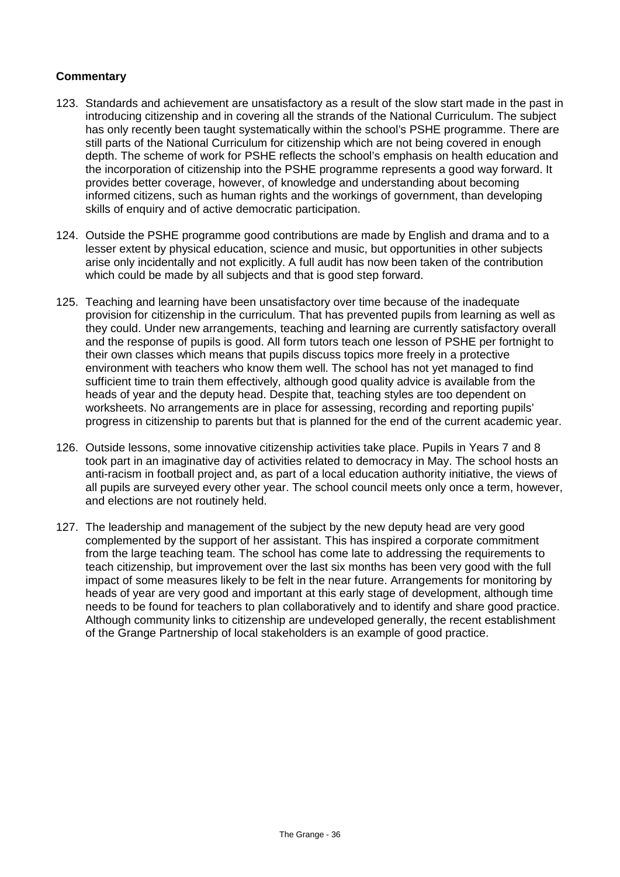- 123. Standards and achievement are unsatisfactory as a result of the slow start made in the past in introducing citizenship and in covering all the strands of the National Curriculum. The subject has only recently been taught systematically within the school's PSHE programme. There are still parts of the National Curriculum for citizenship which are not being covered in enough depth. The scheme of work for PSHE reflects the school's emphasis on health education and the incorporation of citizenship into the PSHE programme represents a good way forward. It provides better coverage, however, of knowledge and understanding about becoming informed citizens, such as human rights and the workings of government, than developing skills of enquiry and of active democratic participation.
- 124. Outside the PSHE programme good contributions are made by English and drama and to a lesser extent by physical education, science and music, but opportunities in other subjects arise only incidentally and not explicitly. A full audit has now been taken of the contribution which could be made by all subjects and that is good step forward.
- 125. Teaching and learning have been unsatisfactory over time because of the inadequate provision for citizenship in the curriculum. That has prevented pupils from learning as well as they could. Under new arrangements, teaching and learning are currently satisfactory overall and the response of pupils is good. All form tutors teach one lesson of PSHE per fortnight to their own classes which means that pupils discuss topics more freely in a protective environment with teachers who know them well. The school has not yet managed to find sufficient time to train them effectively, although good quality advice is available from the heads of year and the deputy head. Despite that, teaching styles are too dependent on worksheets. No arrangements are in place for assessing, recording and reporting pupils' progress in citizenship to parents but that is planned for the end of the current academic year.
- 126. Outside lessons, some innovative citizenship activities take place. Pupils in Years 7 and 8 took part in an imaginative day of activities related to democracy in May. The school hosts an anti-racism in football project and, as part of a local education authority initiative, the views of all pupils are surveyed every other year. The school council meets only once a term, however, and elections are not routinely held.
- 127. The leadership and management of the subject by the new deputy head are very good complemented by the support of her assistant. This has inspired a corporate commitment from the large teaching team. The school has come late to addressing the requirements to teach citizenship, but improvement over the last six months has been very good with the full impact of some measures likely to be felt in the near future. Arrangements for monitoring by heads of year are very good and important at this early stage of development, although time needs to be found for teachers to plan collaboratively and to identify and share good practice. Although community links to citizenship are undeveloped generally, the recent establishment of the Grange Partnership of local stakeholders is an example of good practice.